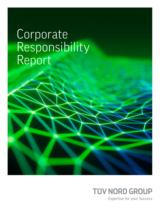## Corporate Responsibility Report

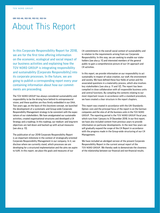#### **GRI 102-46, 102-50, 102-52, 102-54**

## About This Report

In this Corporate Responsibility Report for 2018, we are for the first time offering information on the economic, ecological and social impact of our business activities and explaining how the TÜV NORD GROUP is integrating responsibility and sustainability (Corporate Responsibility) into its corporate processes. In the future, we are going to publish a corresponding report every year containing information about how our commitments are proceeding.

The TÜV NORD GROUP has always considered sustainability and responsibility to be the driving force behind its entrepreneurial vision, and these qualities are thus firmly embedded in our DNA. Two years ago, on the basis of this keystone concept, we launched the development of a systematic and Group-wide Corporate Responsibility Management strategy to be consistent with the expectations of our stakeholders. We have amalgamated our sustainable activities, created organisational structures and developed a CR Strategy and a roadmap. In this roadmap, our medium- and long-term objectives are laid down and backed up with actual measures (see also p. 13).

The publication of our 2018 Corporate Responsibility Report is an important milestone in the context of strategically-oriented Corporate Responsibility Management in our company. In it, we disclose where we currently stand, which processes we are developing for a structured implementation and the aims we aspire to fulfil. In this report, we place the goals and measures of our

CR commitments in the overall social context of sustainability and in relation to the requirements arising from our Corporate Responsibility. In this way, we are seeking to enable our stakeholders (see also p. 11) and interested members of the general public to gain a comprehensive picture of our CR approach and CR activities.

In this report, we provide information on our responsibility to act sustainably in respect of value creation, our staff, the environment and society. We have defined these four fields of action and the associated questions in a materiality process, which also involves key stakeholders (see also p. 11 and 12). The report has been compiled in close collaboration with all responsible business units and central functions. By compiling the contents relating to our most important issues in accordance with a standard procedure, we have created a clear structure in the report chapters.

This report was created in accordance with the GRI-Standards: Option: core and the principal focus of the report is on the German companies and the sites of all the business units in the TÜV NORD GROUP. The reporting period is the TÜV NORD GROUP fiscal year, which runs from 1 January to 31 December 2018. In our first report, we have also included content from previous years to provide information on particular developments. In the next few years we will gradually expand the scope of the CR Report in accordance with the progress made in the Group-wide structuring of our CR Management.

We have included an abridged version of the present Corporate Responsibility Report in the current annual report of the TÜV NORD GROUP. We thereby seek to demonstrate the closeness of the relationship between our financial and non-financial results.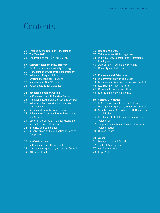## **Contents**

- [Preface by the Board of Management](#page-4-0)
- [The Year 2018](#page-5-0)
- [The Profile of the TÜV](#page-7-0) NORD GROUP

#### **[Corporate Responsibility Strategy](#page-8-0)**

- [Our Corporate Responsibility Strategy](#page-9-0)
- [Management of Corporate Responsibility](#page-10-0)
- [Values and Responsibility](#page-11-0)
- [Crafting Stakeholder Relations](#page-12-0)
- [Materiality of Our CR Issues](#page-13-0)
- [Roadmap 2020 for Guidance](#page-14-0)

#### **[Responsible Value Creation](#page-15-0)**

- [In Conversation with Carsten Becker](#page-16-0)
- [Management Approach, Issues and Control](#page-17-0)
- [18 Value-oriented, Sustainable Corporate](#page-19-0)  [Management](#page-19-0)
- [Responsibility in the Value Chain](#page-21-0)
- [22 Relevance of Sustainability to Innovations](#page-23-0)  [and Services](#page-23-0)
- [24 Use of State-of-the-art, Digital Means and](#page-25-0)  [Methods of Value Creation](#page-25-0)
- [Integrity and Compliance](#page-27-0)
- [28 Integration on an Equal Footing of Foreign](#page-29-0)  [Companies](#page-29-0)

#### **[Staff Orientation](#page-31-0)**

- [In Conversation with Triin Tint](#page-32-0)
- [Management Approach, Issues and Control](#page-33-0)
- [Attractive Employer](#page-35-0)
- [Health and Safety](#page-36-0)
- [Value-oriented HR Management](#page-38-0)
- [38 Individual Development and Promotion of](#page-39-0)  **[Employees](#page-39-0)**
- [Appropriate Working Environment](#page-41-0)
- [Diversity and Inclusion](#page-42-0)

#### **[Environmental Orientation](#page-43-0)**

- [In Conversation with Tanja Klar](#page-44-0)
- [Management Approach, Issues and Control](#page-45-0)
- [Eco-friendly Travel Patterns](#page-47-0)
- [Resource Economy and Efficiency](#page-49-0)
- [Energy Efficiency in Buildings](#page-50-0)

#### **[Societal Orientation](#page-51-0)**

- [In Conversation with Simon Piotrowski](#page-52-0)
- [Management Approach, Issues and Control](#page-53-0)
- [54 Societal Role in Accordance with Our Vision](#page-55-0)  [and Mission](#page-55-0)
- [56 Involvement of Stakeholders Beyond the](#page-57-0)  [Value Chain](#page-57-0)
- [57 Targeted Commitment Consistent with Our](#page-58-0)  [Value Creation](#page-58-0)
- [Human Rights](#page-60-0)
- **[Annex](#page-61-0)**
- [Memberships and Awards](#page-62-0)
- [Table of Key Figures](#page-63-0)
- [GRI Content Index](#page-68-0)
- [Legal Notice](#page-74-0)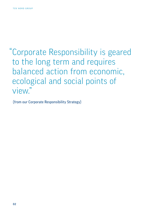## "Corporate Responsibility is geared to the long term and requires balanced action from economic, ecological and social points of view."

(from our Corporate Responsibility Strategy)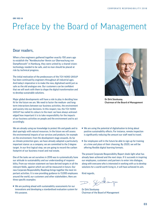#### <span id="page-4-0"></span>**GRI 102-14**

## Preface by the Board of Management

#### Dear readers,

When a few engineers gathered together exactly 150 years ago to establish the "Norddeutscher Verein zur Überwachung von Dampfkesseln" in Hamburg, they were united by a shared vision: technology needed to be safe, and no man should be placed at risk by technical progress.

The initial motivation of the predecessors of the TÜV NORD GROUP has been continued by engineers throughout all industrial ages. And today's imperative is to make the new, digitalised world just as safe as the old analogue one. Our customers can be confident that we will work with them to shape the digital transformation and to develop sustainable solutions.

Major global developments will have a role to play in deciding how fit for the future we are. We need to factor the medium- and longterm interactions between our business activities, the environment and society into our decisions. In this respect, too, the TÜV NORD GROUP has nailed its colours to the mast: we have always acknowledged how important it is to take responsibility for the impacts of our business activities on people and the environment and to act accordingly.

We are already using our knowledge to protect life and goods and to deal sparingly with natural resources. In the future we will assess the environmental impacts of our services and products, for example on the environment, from the development stage onwards. As far as climate protection goes, we have already adopted a particularly important stance: as a company, we are committed to the 2-degree target. In our first logical step, we are going to record the carbon footprint of our business travel and real estate.

One of the tasks we set ourselves in 2018 was to systematically hone our attitude to sustainability and our understanding of responsibility. From our mission statement we have derived targets in all the relevant fields, against which we will be measured in future. Our new Corporate Responsibility Roadmap brings together the most important activities. It is now providing guidance to 13,000 employees around the world, our customers and other stakeholders. Here are three specific examples:

■ We are pushing ahead with sustainability assessments for our innovations and developing a standardised evaluation system for this purpose.



Dr Dirk Stenkamp, Chairman of the Board of Management

- We are using the potential of digitalisation to bring about positive sustainability effects. For instance, remote inspection is significantly reducing the amount our staff need to travel.
- Our employees will in the future be able to sign up for training at a time and place of their choosing. By 2020, we will be offering flexible digital learning formats.

The present Corporate Responsibility Report sheds light what has already been achieved and the next steps. If it succeeds in inspiring our employees, customers and partners to enter into dialogue, along with everyone who is interested in working with us to develop solutions for a world worth living in, it will have achieved its aim.

Kind regards,

D. Sutany

Dr Dirk Stenkamp Chairman of the Board of Management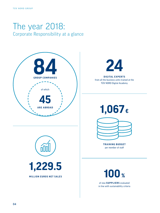### <span id="page-5-0"></span>The year 2018: Corporate Responsibility at a glance







**MILLION EUROS NET SALES**



**DIGITAL EXPERTS** from all the business units trained at the TÜV NORD Digital Academy

**1,067 €**



**TRAINING BUDGET** per member of staff

**100 %** 

of new **SUPPLIERS** evaluated in line with sustainability criteria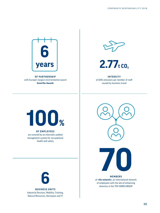

**OF PARTNERSHIP** with Europe's largest environmental award **GreenTec Awards**



2.77<sup>t</sup> co.

**INTENSITY** of GHG emissions per member of staff caused by business travel

# **100%**

**OF EMPLOYEES** are covered by an internally audited management system for occupational health and safety



**MEMBERS** of **»the network«,** an international network of employees with the aim of enhancing diversity in the TÜV NORD GROUP



**BUSINESS UNITS** Industrial Services, Mobility, Training, Natural Resources, Aerospace and IT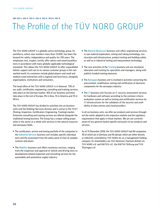#### <span id="page-7-0"></span>**GRI 102-1, 102-2, 102-3, 102-4, 102-5, 102-6, 102-9**

## The Profile of the TÜV NORD GROUP

The TÜV NORD GROUP is a globally active technology group. Its workforce, which now numbers more than 13,000, has been the byword for safety, independence and quality for 150 years. The employees test, inspect, certify, offer advice and award qualifications in accordance with many globally applicable technological standards. This allows the TÜV NORD GROUP to offer unparalleled holistic support and care to its various customer groups in this networked world. Its customers include global players and small and medium-sized enterprises with a regional and local focus, alongside organisations, institutions and consumers.

The head office of the TÜV NORD GROUP is in Hanover. 73% of our audit, certification, engineering, consulting and training services take place on the German market. 16% of our business activities take place in the rest of Europe, 9% in Asia, 1% in America and 1% in Africa.

The TÜV NORD GROUP has divided its activities into six business units and the Holding/Services division and is active in the TICET (Testing, Inspection, Certification, Engineering, Training) market. Extensive consulting and training services are offered alongside the traditional testing business. The Group has a unique selling proposition in the sector as a whole with services in the natural resources and aerospace fields.

- The certification, service and testing portfolio of the companies in the Industrial Services business unit includes specific individual tests and the assessment from the safety point of view of complex systems and plants.
- The Mobility business unit offers numerous services, ranging from the inspection and approval of vehicle and driving tests to development-related inspection and consulting services for the automobile and automotive supply industry.
- The Natural Resources business unit offers engineering services in raw material exploration, mining and coking technology, construction and infrastructure, product testing and building safety as well as in industrial testing and measurement technology.
- $\blacksquare$  The core activities of the Training business unit are vocational education and training for specialists and managers, along with publicly funded training measures.
- The Aerospace business unit is involved in activities concerning the procurement, modification, testing and certification of electronic components for the aerospace industry.
- The IT business unit focuses on IT security assessment services for hardware and software according to the common criteria evaluation system as well as testing and certification services for IT infrastructures for the validation of the security and availability of data centres and cloud providers.

In all six business units, we offer our products and services throughout the world, adapted to the respective markets and the regulatory requirements that apply in those markets. We are not currently aware of any general market-specific exclusions of our products and services.

As of 31 December 2018, the TÜV NORD GROUP had 84 companies, 39 of which are in Germany and 45 abroad, which are either directly or indirectly controlled by TÜV NORD AG as a management holding company. Its shareholders are TÜV Hannover/ Sachsen-Anhalt e.V., TÜV NORD e.V. and RWTÜV e.V., the RWTÜV Stiftung and TÜV Thüringen e.V.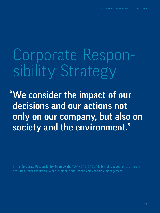# <span id="page-8-0"></span>Corporate Responsibility Strategy

"We consider the impact of our decisions and our actions not only on our company, but also on society and the environment."

In the Corporate Responsibility Strategy, the TÜV NORD GROUP is bringing together its different activities under the umbrella of sustainable and responsible economic management.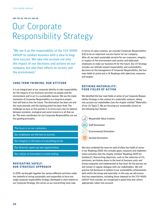#### <span id="page-9-0"></span>**GRI 102-16, 102-44, 102-46**

## Our Corporate Responsibility Strategy

"We see it as the responsibility of the TÜV NORD GROUP to conduct business with a view to longterm success. We take into account not only the impact of our decisions and actions on our company, but also their effects on society and the environment."

#### **LONG-TERM THINKING: OUR ATTITUDE**

It is an integral part of our corporate identity to take responsibility for the impacts of our business activities on people and the environment and to act in a sustainable manner. We see the implementation of Corporate Responsibility as a long-term project that will lead us into the future. The destination has been set and the route planned, and the starting pistol has been fired. The challenge we face on this journey is to strive every day for balance between economic, ecological and social concerns in all that we do. The main coordinates for our Corporate Responsibility are our five guiding principles:

#### The focus is on our customers.

Our employees are the key to success.

- Our integrity is the basis of everything we do.
- Our diversity opens up new opportunities.
- Our culture of innovation is trend-setting.

#### **NAVIGATING SAFELY: OUR STRATEGIC APPROACH**

In 2018, we brought together the various different activities under the umbrella of acting sustainably and responsibly to form one single corporate responsibility strategy. Developed in close relation to our Corporate Strategy, this serves as our overarching route map.

In terms of value creation, we consider Corporate Responsibility (CR) to be an important success factor for our company. After all, we need sustainable services for our customers, integrity in respect of the environment and society and dedicated employees to make our business fit for the future. Our CR Strategy includes our attitude toward responsibility and sustainability, decisions on the management of Corporate Responsibility, the four main fields of action and a CR Roadmap with objectives, measures and targets.

#### **DEFINING MATERIALITY: FOUR FIELDS OF ACTION**

We identified the four main fields of action of our Corporate Responsibility Strategy in the context of a materiality analysis, taking into account our stakeholders (see the chapter entitled "Materiality of our CR Topics"). We are focusing our sustainable actions on the following four themes:

Ûo, Responsible Value Creation ⊯⊾ Staff Orientation Environmental Orientation Societal Orientation

We have combined the route for each of these four fields of action in our Roadmap 2020: this includes goals, measures and implementation activities (see the chapter entitled "Roadmap 2020 for Guidance"). Overarching objectives, such as the reduction of CO<sub>2</sub> emissions, are broken down to the level of business units and Group companies and implemented at that level. On the journey we will remain in regular dialogue with our stakeholders. We will practise full disclosure in relation to our sustainability achievements, both within the Group and externally. In this way we will ensure that key expectations, including those imposed on the TÜV NORD GROUP from outside, are recognised in good time and, where appropriate, taken into account.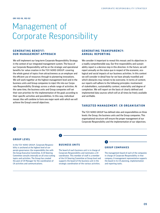<span id="page-10-0"></span>**GRI 102-18, 102-52**

## Management of Corporate Responsibility

#### **GENERATING BENEFIT: OUR MANAGEMENT APPROACH**

We will implement our long-term Corporate Responsibility Strategy in the context of our integrated management system. The focus of our Corporate Responsibility will be on the strategic and operational benefits for value creation in the TÜV NORD GROUP: covering the whole gamut of topics from attractiveness as an employer and the efficient use of resources through to pioneering innovations. We will work together at the highest management level and in the business units and Group companies to inject life into our Corporate Responsibility Strategy across a whole range of activities. At the same time, the business units and Group companies will set their own priorities for the implementation of the goals according to their specific activities and possibilities. In this way, individual mosaic tiles will combine to form one major work with which we will achieve the Group's overall objectives.

#### **GENERATING TRANSPARENCY: ANNUAL REPORTING**

We consider it important to reveal this mosaic and its objectives in a readily comprehensible way. Our first responsibility and sustainability report is a decisive step in this direction. In the future, we will report annually on the status quo in respect of the economic, ecological and social impacts of our business activities. In this context we will consider in detail how far we have already travelled and which obstacles may remain to be overcome. In terms of content, our reports will adhere to the following principles: involvement of stakeholders, sustainability context, materiality and degree of completion. We will report on the basis of clearly defined and implemented data sources which will at all times be freely available and verifiable.

#### **TARGETED MANAGEMENT: CR ORGANISATION**

The TÜV NORD GROUP has defined roles and responsibilities on three levels: the Group, the business units and the Group companies. This organisational structure will ensure the proper management of our Corporate Responsibility and the implementation of our objectives.

#### **GROUP LEVEL**

1

In the TÜV NORD GROUP, Corporate Responsibility is anchored at the highest level of corporate governance: the responsibility lies with the Group Executive Committee. A CR Steering Committee consults internally on all cross-cutting topics and activities. The Group has created the post of CR Manager for the coordination of CR activities and communications.

#### **BUSINESS UNITS**

2

The board of each business unit is in charge of Corporate Responsibility and nominates a CR coordinator. This member of staff is a member of the CR Steering Committee at Group level and supports the board of the business unit in the strategic coordination of the various activities.

#### **GROUP COMPANIES**

3

The management board of each of the companies in charge of Corporate Responsibility in that company. A management representative supports the board in its CR planning, implementation and reporting tasks.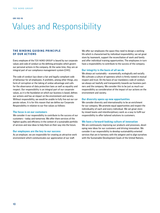#### <span id="page-11-0"></span>**GRI 102-16**

## Values and Responsibility

#### **THE BINDING GUIDING PRINCIPLE OF OUR ACTIONS**

Every employee of the TÜV NORD GROUP is bound by our corporate values and code of conduct as the defining principles which govern our personal actions in the company. At the same time, they are an integral part of our compliance management system (CMS).

The code of conduct lays down a fair and legally compliant code of behaviour for all employees. It prohibits, among other things, any form of corruption or the taking of undue advantage and calls for the observance of data protection laws as well as equality and respect. Our responsibility is an integral part of our corporate values, as it is the foundation on which our business is based, defines our actions and has an impact on the environment and society. Without responsibility, we would be unable to fully live out our corporate values. It is for this reason that we define our Corporate Responsibility in relation to our five values as follows:

#### **The focus is on our customers**

We consider it our responsibility to contribute to the success of our customers – today and tomorrow. We offer them services of the highest quality and efficiency in the context of a sustainable portfolio of services and new ideas to help them on their way into the future.

#### **Our employees are the key to our success**

As an employer, we are responsible for creating an attractive work environment which communicates our appreciation of our staff.

We offer our employees the space they need to design a working life which is characterised by individual responsibility; we set great store by teamwork, support the reconciliation of work and family and offer individual training opportunities. The employees in turn have a responsibility to contribute to the success of the company.

#### **Our integrity is the basis of all we do**

We always act sustainably - economically, ecologically and socially. We cultivate a culture of openness which is firmly rooted in mutual respect and trust. On the basis of our mandatory code of conduct, we always act lawfully and transparently towards our business partners and the company. We consider this to be just as much our responsibility as consideration of the impact of our actions on the environment and society.

#### **Our diversity opens up new opportunities**

We consider diversity and internationality to be an enrichment for our company. We promote equal opportunities and respect the individuality of each and every individual. We set great store by mixed teams and interdisciplinary work as a way to fulfil our responsibility to offer tailored solutions to customers.

#### **We have a forward-looking culture of innovation**

We are continuously improving our products and processes, developing new ideas for our customers and driving innovation. We consider it our responsibility to develop sustainability-oriented services that are in harmony with the zeitgeist and to align ourselves with the Sustainable Development Goals of the United Nations.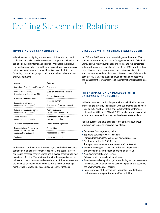## <span id="page-12-0"></span>Crafting Stakeholder Relations

#### **INVOLVING OUR STAKEHOLDERS**

When it comes to aligning our business activities with economic, ecological and social criteria, we consider it important to involve our stakeholders, both internal and external. We engage in dialogue and familiarise ourselves with different expectations, making us very quick to respond to new creative ideas. We have identified the following stakeholder groups, both inside and outside our value chain, as relevant:

| Internal                                                                                      | <b>External</b>                                    |  |
|-----------------------------------------------------------------------------------------------|----------------------------------------------------|--|
| Supervisory Board (internal/external)                                                         | Customers                                          |  |
| Board of Management,<br><b>Group Executive Committee (GEC)</b><br>Heads of the business units | Suppliers and service providers                    |  |
|                                                                                               | Cooperation partners                               |  |
| Companies in Germany<br>(management and experts)                                              | <b>Financial partners</b>                          |  |
|                                                                                               | Shareholders (TÜV associations)                    |  |
| Regions and companies abroad<br>(management and experts)                                      | Accreditation and<br>certification organisations   |  |
| <b>Central functions</b><br>(management and experts)                                          | Authorities with the power<br>to grant permissions |  |
| Group and management officers                                                                 | Legislators and regulators                         |  |
| Representatives of employees<br>(works councils and other<br>representative instances)        | Competition                                        |  |
|                                                                                               | Associations and NGOs                              |  |
| <b>Employees</b>                                                                              | Media and the public                               |  |

In the context of the materiality analysis, we worked with selected stakeholders to identify economic, ecological and social interests and issues, assessed their relevance and allocated them with to four main fields of action. The relationships with the respective stakeholders and the assessment and consideration of their expectations are managed or implemented either centrally in the CR Management or locally via the business units and central functions.

#### **DIALOGUE WITH INTERNAL STAKEHOLDERS**

In 2017 and 2018, we entered into dialogue with around 600 employees in Germany and seven foreign companies in Asia (India, China, Taiwan, Malaysia, Indonesia and Korea) and two companies in Europe (Greece and Spain) (see also p.18). In 2019, we will continue these dialogues and enter into yet more intensive discussions with our internal stakeholders from different parts of the world – both directly via Group audits and workshops and indirectly via the management representatives of the international sites (see also p.28).

#### **INTENSIFICATION OF DIALOGUE WITH EXTERNAL STAKEHOLDERS**

With the release of our first Corporate Responsibility Report, we are seeking to intensify the dialogue with our external stakeholders (see also p.18 and 56). To this end, a stakeholder conference is planned for 2019; in 2019 and 2020 we also intend to conduct written and personal interviews with selected stakeholders.

For this purpose we have assigned topics to the various groups which we aim to use as doorways to dialogue.

- Customers: Service, quality, price
- Suppliers, service providers, partners:
- Fair conditions, impact on customer-related processes ■ Neighbours of the TÜV NORD sites:
	- Transport infrastructure, noise, use of staff canteen etc.
- Accreditation organisations and authorities: Expectations and developments in the regulations which affect us
- Non-governmental organisations: Relevant environmental and social issues
- Associations and competitors: Joint positioning and cooperation on relevant issues that may have a positive impact on the economy, the environment and/ or society
- Representatives of the media and the public: The adoption of positions concerning our Corporate Responsibility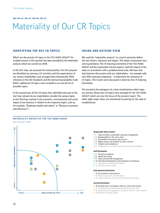<span id="page-13-0"></span>**GRI 102-43, 102-44, 102-46, 102-47**

## Materiality of Our CR Topics

#### **IDENTIFYING THE KEY CR TOPICS**

Which are the priority CR topics in the TÜV NORD GROUP? An in-depth answer to this question has been provided by the materiality analysis which we carried out 2018.

In the first step, we assessed the initial position. For this purpose we identified our previous CR activities and the expectations of our various stakeholders and arranged them thematically. With reference to the GRI Standards and the German Sustainability Code (DNK), additional CR topics were included in an overall list of possible topics.

In the second step, all the CR topics thus identified were put to the test: how relevant do our stakeholders consider the various topics to be? And how marked is the economic, environmental and social impact of our business in relation to the respective topics, such as, for example, "Employee health and safety" or "Resource economy and efficiency"?

#### **INSIDE AND OUTSIDE VIEW**

We used the "materiality analysis" as a tool to precisely define the two factors, relevance and impact. The impact assessment was semi-quantitative. The CR Steering Committee of the TÜV NORD GROUP and the responsible internal experts rated the impact of the topics in accordance with a predetermined scale. We have also had intensive discussions with our stakeholders – for example with over 500 corporate employees – to determine the relevance of CR topics. The results were discussed in detail by the CR Steering Committee.

This has led to the emergence of a clear overall picture which maps our journey. Eleven key CR topics have emerged for the TÜV NORD GROUP which are also the focus of the present report. The other eight major topics are mentioned in passing for the sake of completeness.

#### MATERIALITY MATRIX OF THE TÜV NORD GROUP

Last revised 16. 2. 2018



#### **Responsible Value Creation**

- 1 Value-oriented, sustainable corporate management
- 2 Responsibility in the value chain
- 3 Sustainable innovations and services
- 4 Digital means and methods of value creation
- 
- 5 Integrity and compliance<br>• 6 Integration on an equal form
- Integration on an equal footing of the foreign companies

#### **Staff Orientation**

- 7 Attractive employer
- 8 Health and safety
- 9 Value-oriented HR management
- 10 Individual development and promotion of employees
- 11 Appropriate working environment
- 12 Diversity and inclusion

#### **Environmental Orientation**

- 13 Eco-friendly travel natterns
- 14 Resource economy and efficiency
- 15 Energy efficiency of rented or fully-owned buildings

#### **Societal Orientation**

- 16 Societal role in accordance with our vision and mission
- 17 Involvement of stakeholders beyond the value chain
- 18 Targeted social engagement consistent with our value creation
- 19 Respect for human rights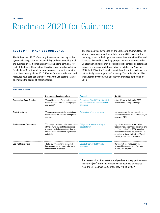<span id="page-14-0"></span>**GRI 102-44**

## Roadmap 2020 for Guidance

#### **ROUTE MAP TO ACHIEVE OUR GOALS**

The CR Roadmap 2020 offers us guidance on our journey to the systematic integration of responsibility and sustainability in all the business units. It contains an overarching long-term goal for each of the four fields of action. Objectives have also been defined for the key CR topics and the routes planned by which we aim to achieve these goals by 2020. Key performance indicators and measures have been set as guides. We aim to use specific targets to evaluate the degree of implementation.

The roadmap was developed by the CR Steering Committee. The kick-off event was a workshop held in July 2018 to define the roadmap, at which the long-term CR objectives were identified and discussed. Divided into working groups, representatives from the CR Steering Committee then discussed specific targets, indicators and measures in various workshops. Between October and November 2018, the CR Steering Committee carried out the last critical analyses before finally releasing the draft roadmap. The CR Roadmap 2020 was adopted by the Group Executive Committee at the end of 2018.

#### ROADMAP 2020

|                                   | Our expectation of ourselves                                                                                                                                                              | Our goal                                                                              | Our KPI                                                                                                                                                                                                                                                        |
|-----------------------------------|-------------------------------------------------------------------------------------------------------------------------------------------------------------------------------------------|---------------------------------------------------------------------------------------|----------------------------------------------------------------------------------------------------------------------------------------------------------------------------------------------------------------------------------------------------------------|
| <b>Responsible Value Creation</b> | "Our achievement of economic success<br>considers the interests of both people<br>and nature."                                                                                            | Perception of the TÜV NORD GROUP<br>as a value-oriented and sustainable<br>enterprise | CR certificate or listings by 2020 in<br>sustainability ratings/rankings                                                                                                                                                                                       |
| <b>Staff Orientation</b>          | "Our employees are at the heart of our<br>company and the key to our long-term<br>success."                                                                                               | Satisfaction of our employees                                                         | Maintenance of the high commitment<br>index score of over 70% in the employee<br>survey of 2020                                                                                                                                                                |
| <b>Environmental Orientation</b>  | "Climate protection and the preservation<br>of the natural basis of life are among<br>the greatest challenges of our time, and<br>we will either rise to them together or<br>not at all." | Obligation to meet the 2-degree<br>climate target                                     | Significant reduction of our carbon<br>footprint (total greenhouse gas emissions<br>as CO <sub>2</sub> equivalent) by 2050, develop-<br>ment of measures to reduce of our GHG<br>emissions in line with the triad "Avoid.<br>Reduce, Offset" and in that order |
| <b>Societal Orientation</b>       | "To be truly meaningful, individual<br>human development must take place<br>in the context of society."                                                                                   | Societally committed through<br>innovation                                            | Our innovations will support the<br>sustainable development of society<br>in 2020 and beyond                                                                                                                                                                   |
|                                   |                                                                                                                                                                                           |                                                                                       |                                                                                                                                                                                                                                                                |

The presentation of expectations, objectives and key performance indicators (KPI) in the individual fields of action is an excerpt from the CR Roadmap 2020 of the TÜV NORD GROUP.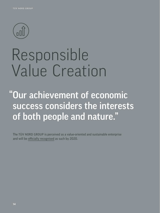<span id="page-15-0"></span>

# Responsible Value Creation

## " Our achievement of economic success considers the interests of both people and nature."

The TÜV NORD GROUP is perceived as a value-oriented and sustainable enterprise and will be officially recognised as such by 2020.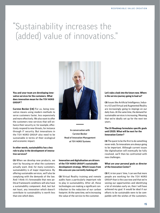## <span id="page-16-0"></span>" Sustainability increases the (added) value of innovations."

**You and your team are developing innovative services for the customers. What does innovation mean for the TÜV NORD GROUP?**

**Carsten Becker (CB)** For us, being innovative means using modern methods to serve customers faster, less expensively and more effectively. We also want to offer the customers new services that will enhance their security or, for example, effectively respond to new threats, for instance through IT security. But innovations in the TÜV NORD GROUP also need to be sustainable in terms of their ecological and economic impact.

#### **In other words, sustainability has a key role to play in the development of innovative services?**

**CB** When we develop new products, we start by focusing on what the customers actually want. And, for many customers, sustainability is of major importance. By offering sustainable services, we'll also be complying with the demands of the law. And I think it's foreseeable that new political framework conditions will also have a sustainability component. And, last but not least, any innovation which doesn't contribute to sustainability is worth less than one which does.



In conversation with Carsten Becker Head of Innovation Management at TÜV NORD Systems

**Innovation and digitalisation are drivers of the TÜV NORD GROUP's sustainable development strategy. Which issues from this area are you currently looking at?**

**CB** Virtual Reality training and remote audits have a particularly important role to play in sustainability. After all, these technologies are making a significant contribution to the reduction of our carbon footprint. At the same time, we're increasing the value of the service to the customer.

#### **Let's take a look into the future now. Where is the service journey going to lead us?**

CB Issues like Artificial Intelligence, Industry 4.0 and Virtual and Augmented Reality are increasingly going to impinge on our daily lives. At the same time, the demand for sustainable services is increasing. Meaning that we're ideally set up for the next ten years.

#### **The CR Roadmap formulates specific goals until 2020. What will be next for the Innovation Center?**

**CB** The quest to be the first to do something never ends. So innovations are always going to be important. Although current issues like digitalisation will eventually be fully resolved, we'll then be confronted with new challenges.

#### **What are your personal goals as director of the Innovation Center?**

**CB** If, in ten years' time, I can see that more people are working for the TÜV NORD GROUP than is the case now and that we're seizing our opportunities and identifying a lot of mistakes early on, then I will have achieved my goal. It would be ideal if our efforts to be sustainable were to be compatible with the wishes of the customers.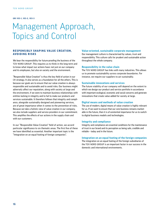#### <span id="page-17-0"></span>**GRI 103-1, 103-2, 103-3**

## Management Approach, Topics and Control

#### **RESPONSIBLY SHAPING VALUE CREATION. AVOIDING RISKS**

We bear the responsibility for future-proofing the business of the TÜV NORD GROUP. This requires us to think in the long term and to know what impact our actions have: not just on our company and its employees, but also on society and the environment.

"Responsible Value Creation" is thus the key field of action in our CR strategy. It also serves as a foundation for all the others. This is because our goals are to ensure that our value creation is always responsible and sustainable and to avoid risks. Our business might adversely affect our reputation, along with society at large and the environment, if we were to maintain business relationships with entities lacking in integrity and to fail to make our products and services sustainable. It therefore follows that integrity and compliance, alongside sustainably designed and pioneering services, are of great importance when it comes to the prevention of risks. Because we take a holistic view of value creation in our company, we also include suppliers and service providers in our commitment. This amplifies the effects of our actions in the supply chain and with our customers.

In our "Responsible Value Creation" field of action, we accord particular significance to six thematic areas. The first five of these we have identified as essential. Another important topic is the "Integration on an equal footing of foreign companies".

#### **Value-oriented, sustainable corporate management**

Our management culture is characterised by values, trust and responsibility. This culture calls for prudent and sustainable action throughout the whole company.

#### **Responsibility in the value chain**

The TÜV NORD GROUP has links with many industries. This allows us to promote sustainability across corporate boundaries. For instance, we require our suppliers to act sustainably.

#### **Sustainable innovations and services**

The future viability of our company will depend on the extent to which we design our product and service portfolio in accordance with important ecological, economic and social concerns and generate innovations that create value added for society at large.

#### **Digital means and methods of value creation**

The use of modern, digital means of value creation is highly relevant for us. If we want to ensure that our core business remains marketable in the future, then it is of existential importance for us to switch to digital business models and technologies.

#### **Integrity and compliance**

Integrity and compliance are essential conditions for the maintenance of trust in our brand and its perception as being safe, credible and reliable – today and in the future.

#### **Integration on an equal footing of the foreign companies**

The integration on an equal footing of the foreign subsidiaries of the TÜV NORD GROUP is an important factor in our success in the domestic and international environments.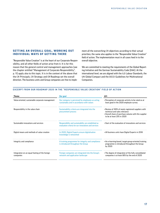#### **SETTING AN OVERALL GOAL, WORKING OUT INDIVIDUAL WAYS OF GETTING THERE**

"Responsible Value Creation" is at the heart of our Corporate Responsibility, and all other fields of action arise from it. It is for this reason that the general control and management approaches (see the chapter entitled "Management of Corporate Responsibility", p. 11) apply also to this topic. It is in the context of the above that the CR Principals, CR Strategy and CR Roadmap set the overall direction. The business units and Group companies are free to implement all the overarching CR objectives according to their actual priorities; the same also applies to the "Responsible Value Creation" field of action. The implementation must in all cases feed in to the overall objective.

We are committed to meeting the requirements of the Global Reporting Initiative and the German Sustainability Code (DNK). At the international level, we are aligned with the ILO Labour Standards, the UN Global Compact and the OECD Guidelines for Multinational Companies.

| <b>Theme</b>                                                | <b>Our goal</b>                                                                                              | <b>KPI</b>                                                                                                                                                                  |
|-------------------------------------------------------------|--------------------------------------------------------------------------------------------------------------|-----------------------------------------------------------------------------------------------------------------------------------------------------------------------------|
| Value-oriented, sustainable corporate management            | Our company is perceived by employees as acting<br>sustainably and in accordance with values                 | • Perception of corporate activity to be rated as at<br>least good in the 2020 employee survey                                                                              |
| Responsibility in the value chain                           | Sustainability criteria are integrated into the<br>procurement process                                       | • Review of 100% of newly registered suppliers with<br>technical and sales relevance<br>• Overall share of purchase volume with this supplier<br>to be at least 25% in 2020 |
| Sustainable innovations and services                        | Responsibility and sustainability are established as<br>evaluation criteria for our innovations and services | • Start of the evaluation of innovations and services                                                                                                                       |
| Digital means and methods of value creation                 | In 2020, Digital Experts ensure digitalisation<br>knowledge is networked                                     | • All business units have Digital Experts in 2018                                                                                                                           |
| Integrity and compliance                                    | A training programme for integrity and compliance<br>is introduced throughout the Group                      | • An e-learning-based, target-group-oriented training<br>programme is introduced throughout the Group<br>by 2020                                                            |
| Integration on an equal footing of the foreign<br>companies | Foreign companies are integrated into the Group's<br>network and application landscape                       | • The degree of integration of the fully consolidated<br>companies is at least 80% by the end of 2020                                                                       |

#### EXCERPT FROM OUR ROADMAP 2020 IN THE "RESPONSIBLE VALUE CREATION" FIELD OF ACTION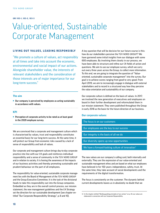## <span id="page-19-0"></span>Value-oriented, Sustainable Corporate Management

#### **LIVING OUT VALUES, LEADING RESPONSIBLY**

"We promote a culture of values, act responsibly at all times and take into account the economic, environmental and social impact of our actions. Alongside shareholder value, the interests of relevant stakeholders and the consideration of those interests are of major importance for our long-term success."

#### **The aim**

■ Our company is perceived by employees as acting sustainably in accordance with values.

#### **KPI**

■ Perception of corporate activity to be rated as at least good in the 2020 employee survey.

We are convinced that a corporate and management culture which is characterised by values, trust and responsibility constitutes an essential basis for our long-term success. At the same time, it will protect our Group from economic risks caused by a lack of sense of responsibility and lack of values.

Our corporate and management culture brings day-to-day corporate practice into line with our CR goals and reinforces individual responsibility and a sense of community in the TÜV NORD GROUP and in relation to society. It is honing the awareness of the impacts of our business activities and thereby promoting sustainable and prudent behaviour on the part of all employees.

The responsibility for value-oriented, sustainable corporate management lies with the Board of Management of the TÜV NORD GROUP and the Group Executive Committee. It is the task of the divisional heads to take this responsibility out into the Group companies. Embedded as they are in the overall control process, our mission statement, the new management guidelines and the CR Strategy set the direction for our sustainable development (see chapter entitled "Our Corporate Responsibility Strategy", p.8 and 10).

A key question that will be decisive for our future course is this: how do our stakeholders perceive the TÜV NORD GROUP? We have garnered some initial insights from our dialogue with some 600 employees. By involving them closely in our process, we have been able to structure and refine our CR fields of action and questions. We aim to use our employee survey, which we carry out every three years across the Group, to collect more information. To this end, we are going to integrate the question of "Valueoriented, sustainable corporate management" into the survey. Our goal is to achieve scores ranging from good to very good. From April 2019, we aim to increasingly engage in dialogue with external stakeholders and to record in a structured way how they perceive the value orientation and sustainability of our company.

Our corporate culture is defined on the basis of values. In 2017, we involved the new generation of executives and employees on board in their further development and reformulated them in our mission statement. They were published throughout the Group in early 2018 as the basis for the future direction of our business.

#### **Our corporate values:**

#### The focus is on our customers

- Our employees are the key to our success
- Our integrity is the basis of all we do
- Our diversity opens up new opportunities
- We have a forward-looking culture of innovation<sup>1</sup>

The new values are our company's calling card, both internally and externally. They are the expression of our value-oriented and sustainable management ethos and are based on what our employees have believed in for 150 years: independence, safety, trust. At the same time, they take account of social developments and the requirements of the digital transformation.

The focus is consistently on the customer. The dynamic behind current developments leaves us in absolutely no doubt that we

<sup>1)</sup> In the chapter entitled "Binding guiding principles of our actions" on p. 10, our values are elaborated in connection with our Corporate Responsibility.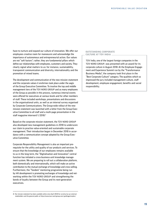have to nurture and expand our culture of innovation. We offer our employees creative room for manoeuvre and acknowledge the importance of autonomous and entrepreneurial action. Our values are not "soft factors"; rather, they are fundamental pillars which define our relationships with employees, customers and society. They clearly signal what matters to us: for instance, sustainability, transparent communication and diversity, internationality and the promotion of mixed teams.

The development and communication of the new mission statement and the corporate values it enshrines took place under the aegis of the Group Executive Committee. To involve the top and middle management tiers of the TÜV NORD GROUP and as many employees of the Group as possible in this process, numerous internal events were offered for executives at various levels and for other members of staff. These included workshops, presentations and discussions in the organisational units, as well as an internal survey organised by Corporate Communications. The Group-wide rollout of the new mission statement was launched with a letter from the Group Executive Committee to all staff and a multi-page presentation in the staff magazine internord 1/2018.<sup>2</sup>

Based on the corporate mission statement, the TÜV NORD GROUP also developed new management guidelines in 2018 to underscore our claim to practise value-oriented and sustainable corporate management. Their introduction began in December 2018 in accordance with a communication concept adopted by the Group Executive Committee.

Corporate Responsibility Management is also an important prerequisite for the utility and quality of our products and services. To ensure that the knowledge of our employees remains available to us in the long term, the "Digitalisation and Innovation" central function has initiated a cross-business-unit knowledge management system. We are preparing to roll out a collaboration platform, both domestically and internationally, which will make an active contribution to the mutual exchange of knowledge and cross-selling. Furthermore, the "Tandem" mentoring programme being run by HR development is promoting exchanges of knowledge and networking within the TÜV NORD GROUP and strengthening the bonds of loyalty between the Group and its next-generation executives.

#### **OUTSTANDING CORPORATE CULTURE AT TÜV INDIA**

TÜV India, one of the largest foreign companies in the TÜV NORD GROUP, was presented with an award for its corporate culture in August 2018: At the Employee Engagement and Experience Summit run by the "Transformance Business Media", the company took first place in the "Best Corporate Culture" category. The qualities which so impressed the jury included management culture, staff development, employee engagement, benefits and social responsibility.

<sup>2)</sup> Our mission statement has been available online since April 2018 for scrutiny by our external stakeholders and the general public at https://www.tuev-nord-group.com/ guidingprinciples /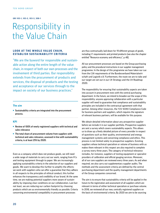#### <span id="page-21-0"></span>**GRI 103-1, 103-2, 103-3, 308-1**

## Responsibility in the Value Chain

#### **LOOK AT THE WHOLE VALUE CHAIN. ESTABLISH SUSTAINABILITY CRITERIA**

"We are the byword for responsible and sustainable action along the entire length of the value chain, in respect of both our own processes and the involvement of third parties. Our responsibility extends from the procurement of products and services, the disposal of products and the testing and acceptance of our services through to the impact on society of our business practices."

#### **The aim**

■ Sustainability criteria are integrated into the procurement process.

#### **KPI**

- Review of 100% of newly registered suppliers with technical and sales relevance
- The total share of procurement volume from suppliers with technical and sales relevance, assessed in line with sustainability criteria, is at least 25% by 2020.

Even as a company which does not produce goods, we still need a wide range of materials to carry out our work, ranging from PCs and testing equipment through to paper. We are increasingly applying sustainability criteria in the selection of our suppliers and goods. We want to develop this further to amplify the effects: we work with suppliers who can offer a guarantee that they adhere in all respects to the principles of ethical conduct; this further enhances the transparency and credibility of our brand. At the same time, we are making potential suppliers more aware of sustainability by imposing clear conditions on our collaboration. Last but not least, we are reducing our carbon footprint by choosing products which are as environmentally friendly as possible. Criteria concerning environmental compatibility in procurement processes

are thus contractually laid down for 19 different groups of goods, including IT requirements and printed products (see also the chapter entitled "Resource economy and efficiency", p.48).

All our procurement processes are based on the Group purchasing policy and the procedural instructions in our supplier management programme. In the design of this programme we have taken our cue from the CSR requirements of the Bundesverband Materialwirtschaft und Logistik e.V. Furthermore, the route we are to take and our target are set out in our CR Strategy and the CR Roadmap 2020.

The responsibility for ensuring that sustainability aspects are taken into account in procurement rests with the central purchasing department. In the future, we intend to broaden out the scope of this responsibility: anyone approving collaboration with a particular supplier will need to guarantee that compliance and sustainability principles are included in the contractual agreement with that partner. Among other resources, the TÜV NORD Compliance Code for business partners and suppliers, which requires the signature of relevant business partners, will be available for this purpose.

We obtain detailed information about any prospective supplier before we include it in our supplier portfolio. Prospective suppliers are sent a survey which covers sustainability aspects. This allows us to draw up a finely detailed picture of every provider in respect of questions such as their quality, environmental and energy management systems and concerning compliance and ethics. This process is not limited solely to prospective suppliers. Existing suppliers whose technical specialism or volume of business with us makes them relevant in this respect are also required to complete a survey every three years. The category of technical relevance includes, for instance, suppliers of testing equipment or specialist providers of calibration and official gauging services. Moreover, all of our core suppliers are reviewed every three years. As and when required, we also carry out supplementary supplier audits. The methods and the assessment criteria are defined by the central purchasing department and the quality management departments of the Group companies concerned.

The aim is to ensure that sustainability criteria will be applied in the future to the registration and assessment of all suppliers which are relevant in terms of either technical specialism or purchase volume. In 2018, we reviewed all our new, centrally registered suppliers on the basis of environmental criteria. By 2020 we aim to be sourcing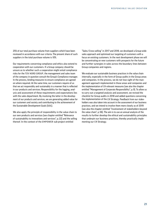25% of our total purchase volume from suppliers which have been reviewed in accordance with our criteria. The present share of such suppliers in the total purchase volume is 10%.

Our requirements concerning compliance and ethics also extend to cooperation with our customers. If a Group company should be unsure as to whether such a cooperation might entail compliance risks for the TÜV NORD GROUP, the management and sales team of the company in question consult the Group's Compliance manager. In the process, binding measures to ensure compliance are agreed on where required. At the same time, our customers require of us that we act responsibly and sustainably in a manner that is reflected in our products and services. Responsibility for the logging, analysis and assessment of these requirements and expectations lies with the sales department. By involving the latter in the development of our products and services, we are generating added value for our customers and society and contributing to the achievement of the Sustainable Development Goals (SDG).

We also apply the principle of responsibility in the value chain to our own products and services (see chapter entitled "Relevance of sustainability to innovations and services", p.22) and the selling thereof. In the context of the EMPOWER sub-project entitled

"Sales /Cross-selling" in 2017 and 2018, we developed a Group-wide sales approach and optimised our targeting of customers with a focus on existing customers. In the next development phase we will be concentrating on new customers with prospects for the future and further synergies in sales across the boundary lines between Group companies and regions.

We evaluate our sustainable business practices in the value chain internally, especially in the form of Group audits in the Group areas and companies. In the process, we do not lose sight of the management approach implemented in those areas and companies and the implementation of CR-relevant measures (see also the chapter entitled "Management of Corporate Responsibility", p.9). To allow us to carry out a targeted analysis and assessment, we revised the checklist for Group audits in 2018 and added questions concerning the implementation of the CR Strategy. Feedback from our stakeholders was also taken into account in the assessment of our business practices, and we intend to involve them more closely as of 2019 (see also the chapter entitled "Involvement of stakeholders beyond the value chain", p.56). The aim is to use an annual analysis of the results to further develop the ethical and sustainability principles that underpin our business practices, thereby practically implementing our CR Strategy.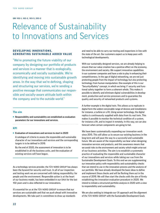#### <span id="page-23-0"></span>**GRI 103-1, 103-2, 103-3, 203-2**

## Relevance of Sustainability to Innovations and Services

#### **DEVELOPING INNOVATIONS, GENERATING SUSTAINABLE ADDED VALUE**

"We're promoting the future viability of our company by designing our portfolio of products and services in a manner that is ecologically, economically and socially sustainable. We're identifying and moving into sustainable growth areas. In the way that we're defining, shaping and structuring our services, we're sending a positive message that communicates our responsible and socially-aware attitude both within the company and to the outside world."

#### **The aim**

**E** Responsibility and sustainability are established as evaluation parameters for our innovations and services.

#### **KPI**

■ Evaluation of innovations and services to start in 2020

A catalogue of criteria to assess the responsible and sustainable character of our innovations and services and the corresponding targets is to be defined in 2019.

By the end of 2020, the assessment of innovation is to be established in all the business units, and the evaluation of existing services will have begun.

As a technology services provider, the TÜV NORD GROUP has always been the byword for security and trust. In all of our inspection and testing work we are concerned with taking responsibility: for people and the environment. Responsible action is at the heart of our business model, has been embedded in our DNA for the last 150 years and is also reflected in our innovations.

It's essential for us at the TÜV NORD GROUP to ensure that our services are sustainable and that we push ahead with innovative developments. We take part in committees to draw up standards

and need to be able to carry out testing and inspections in line with the state of the art. Our customers expect us to keep pace with technological developments.

With our sustainably designed services, we are already helping to ensure that our value creation has a positive effect on the economy, the environment and society. We support innovative capabilities in our customer companies and have a role to play in enhancing their competitiveness. In the age of digital networking, we are not just protecting people from the impact of technology but also protecting technology from human manipulation. One example of this is our "Security4Safety" concept, in which we bring IT security and functional safety together to form a coherent whole. This makes it possible to identify and eliminate digital vulnerabilities in development, production and service processes and to guarantee the quality and security of networked products and systems.

A further example is the digital twin. This allows us to replicate in digital form the widest conceivable range of devices and installations: for instance, a turbine or a lift. Using sensor technology, the digital replica is continuously supplied with data from its real twin. This makes it possible to monitor the technical condition of a system, for instance a lift, and to inspect it remotely. In this way, we can also forecast when certain components are going to fail.

We have been systematically expanding our innovation work since 2015. This will allow us to secure our existing business in the long term and will pave the way to a successful and sustainable future. We are aware of the responsibility we bear when designing innovative services and products, and this awareness means that we avoid risks to the environment and society which might arise out of our business activities. The aim is to establish a systematic practice of evaluating the responsible and sustainable character of our innovations and services while taking our cue from the Sustainable Development Goals. To this end we are supplementing our innovation policy with responsibility and sustainability checks that we intend to use in the innovation process and the analysis of our portfolio. We have already developed the basic ideas to define and implement these checks and will be fleshing them out in the course of 2019. We will then start the checks with the aim of firmly establishing the innovation evaluation procedure in 2020. We intend to initiate a structured portfolio analysis in 2020 with a view to responsibility and sustainability.

We are also seeking to integrate our CR approach and the alignment of the TÜV NORD GROUP with the Sustainable Development Goals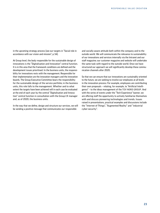in the upcoming strategy process (see our targets in "Social role in accordance with our vision and mission", p.54).

At Group level, the body responsible for the sustainable design of innovations is the "Digitalisation and Innovation" central function. It is in this area that the framework conditions are defined and the development issues prioritised. In the business units, the responsibility for innovations rests with the management. Responsible for their implementation are the innovation managers and the innovation boards. The Group Executive Committee bears the responsibility for the sustainable design of the service portfolio; in the business units, this role falls to the management. Whether and to what extent the targets have been achieved will in each case be evaluated at the end of each year by the central "Digitalisation and Innovation" central function in consultation with the Group CR manager and, as of 2020, the business units.

In the way that we define, design and structure our services, we will be sending a positive message that communicates our responsible

and socially-aware attitude both within the company and to the outside world. We will communicate the relevance to sustainability of our innovations and services internally via the Intranet and our staff magazine; our customer magazine and website will undertake the same task with regard to the outside world. Once we have structured our approach we will significantly develop these communication channels after 2020.

So that we can ensure that our innovations are sustainably oriented to the future, we are seeking to involve our employees at all levels in the innovation process: For example, employees are contributing their own proposals – relating, for example, to "Artificial Intelligence" – to the ideas management of the TÜV NORD GROUP. And with the series of events under the "Tech Experience" banner, we are offering staff the opportunity to actively familiarise themselves with and discuss pioneering technologies and trends. Issues raised in presentations, practical examples and discussions include the "Internet of Things", "Augmented Reality" and "industrial cyber-security".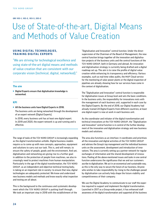#### <span id="page-25-0"></span>**GRI 103-1, 103-2, 103-3, 203-2**

## Use of State-of-the-art, Digital Means and Methods of Value Creation

#### **USING DIGITAL TECHNOLOGIES. TRAINING DIGITAL EXPERTS**

"We are striving for technological excellence and using state-of-the-art digital means and methods of value creation that are consistent with our corporate vision (technical, digital, networked)."

#### **The aim**

■ Digital Experts ensure that digitalisation knowledge is networked.

#### **KPI**

■ All the business units have Digital Experts in 2018.

The business units are being networked through the development of an expert network (Digital Experts).

In 2018, every business unit has at least one digital expert. In 2019 and 2020, the expert network is up and running and is effective.

The range of tasks of the TÜV NORD GROUP is increasingly expanding as the digital transformation unfolds. Digital business models require us to come up with new concepts, approaches, equipment and solutions to carry out our task. This is, and will remain, to ensure the safety of people, goods and the environment. And yet, digitalisation and networking are giving rise to a further goal: in addition to the protection of people from machines, we also increasingly need to protect machines from human manipulation. Particularly in the age of the digital transformation, the TÜV NORD GROUP, as an independent and objective technical testing body, is taking on an important role in society: to ensure that new, digital technologies are adequately protected. We know and understand new business models and methods and know exactly what inspection and testing are all about.

This is the background to the continuous and systematic development which the TÜV NORD GROUP is putting itself through. We took an important step in 2018 with the establishment of the

"Digitalisation and Innovation" central function. Under the direct supervision of the Chairman of the Board of Management, the new central function brings together all the innovation and digitalisation projects of the business units and the central functions of the TÜV NORD GROUP, both in Germany and abroad. An innovation and digitalisation strategy is currently being drafted and a digital roadmap set up. The aim is to raise the profile of digital value creation while enhancing its transparency and efficiency. Various examples, such as real-time video audits, the MAP Cloud service for the monitoring of solar power plants or the digital inspection of pipelines are already showing how far our services have come in the context of digitalisation.

The "Digitalisation and Innovation" central function is responsible for digitalisation issues at Group level and sets the basic conditions. In the business units, the responsibility for innovations rests with the management of each business unit, supported in each case by the Digital Experts. By the end of 2018, our Digital Academy had already trained 24 Digital Experts from different countries; at least one digital expert is now at work in each business unit.

As the coordinator and initiator of the digital transformation and technical innovations at the TÜV NORD GROUP, the "Digitalisation and Innovation" central function is in control of the further development of the innovation and digitalisation strategy and new business models and solutions.

The area also functions as an interface: it coordinates and prioritises all the innovation and digital activities of the TÜV NORD GROUP and advises the Group's top management and the individual business units on the assessment, development and introduction of innovations. The area is currently setting up a partner network for regular exchanges of information and the shared development of innovations. Pooling all the above-mentioned issues and tasks in one central function underscores the significance that we and our customers ascribe to digitalisation. We act in an economical and sustainable way, as this is the only way to secure the future of our business. Anyone who wishes to take responsibility by rising to the challenges posed by digitalisation can actively help shape the future viability and competitiveness of their company.

We use the Digital Academy to communicate to our staff the expertise required to support and implement the digital transformation. Launched in 2017 as a Group-wide project, it has enhanced staff awareness of the digital transformation and supported all the business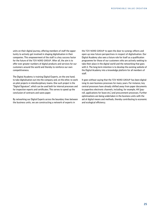units on their digital journey, offering members of staff the opportunity to actively get involved in shaping digitalisation in their companies. This empowerment of the staff is a key success factor for the future of the TÜV NORD GROUP. After all, the aim is to offer ever greater numbers of digital products and services for our customers around the world and thereby to reinforce our own competitiveness.

The Digital Academy is training Digital Experts, on the one hand, to take digitalisation out into the company and, on the other, to work on pilot projects in interdisciplinary teams. One such project is the "Digital Signature", which can be used both for internal processes and for inspection reports and certificates. This serves to speed up the conclusion of contracts and saves paper.

By networking our Digital Experts across the boundary lines between the business units, we are constructing a network of experts in

the TÜV NORD GROUP to open the door to synergy effects and open up new future perspectives in respect of digitalisation. Our Digital Academy also sees a future role for itself as a qualification programme for those of our customers who are actively seeking to take their place in the digital world and the networking that goes with it. The long-term intention is to develop the existing website of the Digital Academy into a knowledge platform for all members of staff.

It goes without saying that the TÜV NORD GROUP has been digitalising its own business processes for many years. For instance, key central processes have already shifted away from paper documents to paperless electronic channels, including, for example, HR (payroll, applications for leave etc.) and procurement processes. Further optimisations are being undertaken in the business units with the aid of digital means and methods, thereby contributing to economic and ecological efficiency.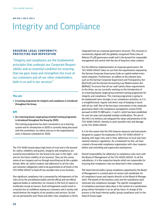#### <span id="page-27-0"></span>**GRI 103-1, 103-2, 103-3**

## Integrity and Compliance

#### **ENSURING LEGAL CONFORMITY, PROTECTING OUR REPUTATION**

"Integrity and compliance are the fundamental principles that underpin our Corporate Responsibility and an essential condition for ensuring that we gain, keep and strengthen the trust of our customers and all our other stakeholders, both in us and in our services."

#### **The aim**

■ A training programme for integrity and compliance is introduced throughout the Group.

#### **KPI**

■ An e-learning-based, target-group-oriented training programme is introduced throughout the Group by 2020.

The training programme has been conceived as an e-learning system and its introduction in 2020 is currently being discussed with the committees. Its rollout and use in the organisational units is likewise scheduled for 2020.

The TÜV NORD brand enjoys high levels of trust and is the byword for safety, reliability and quality. Integrity and compliance are essential preconditions for the brand to be seen in this light – and also for the future viability of our business. They are the cornerstones of our company and run through everything we do like a golden thread. After all, lawful conduct and adherence to all the rules and voluntary obligations need to be guaranteed at all levels in the TÜV NORD GROUP to head off any possible risks to our business.

One significant compliance risk is presented by infringements of the rules set by the accreditation bodies and the official and non-official approval bodies or authorities, for instance in the form of reports or certificates issued as favours. Such infringements would result in a massive loss of confidence among our customers and in society and would destroy the integrity of our products and services. So that we can permanently avert these and other risks, compliance is firmly integrated into our corporate governance structure. This structure is consistently aligned with the globally recognised Three Lines of Defence (TLoD) governance model and is the byword for responsible management and control with the aim of long-term value creation.

For the effective implementation of corporate governance, the TÜV NORD GROUP takes its cue from the requirements imposed by the German Corporate Governance Code on capital-market-orientated companies. Furthermore, we adhere to the relevant laws, such as the German Corporate Supervision and Transparency Act (KonTraG) and the German Accounting Law Modernisation Act (BilMoG). To ensure that all our staff satisfy these requirements to the letter, we are currently working on the introduction of an e-learning-based, target-group-oriented training programme for integrity and compliance. This training programme is going to be emphasised more strongly in our compliance activities, as it is a straightforward, regular and direct way of keeping in touch with all our staff. One of the key basic instruments in the corporate governance field is the compliance management system (CMS) pursuant to IDW PS 980 parts I, II and III, which has been established for over ten years and awarded multiple certifications. The aim of the CMS is to reinforce and safeguard the values and protection of the TÜV NORD GROUP, thereby to avert possible risks and damage to the TÜV NORD GROUP.

It is for this reason that the CMS features measures and instruments designed to support the employees of the TÜV NORD GROUP in dealing with legal risks and in their adherence to local and international statutory regulations. As a framework for this, we have created a Group-wide compliance organisation with clear responsibilities and controlling and supervision mechanisms.

Overall responsibility for adherence to compliance rules rests with the Board of Management of the TÜV NORD GROUP. In all the subsidiaries, it is the respective boards which are responsible for ensuring that compliance rules are observed in their companies.

The head internal audits / group compliance appointed by the Board of Management is a central point of contact and coordinator for all compliance issues and reports directly to the Board of Management. The boards of the business units and the subsidiaries each nominate one compliance manager. The specific management of compliance processes takes place in the context of a coordination group whose formation is on an ad hoc basis. In charge of the process is the head internal audits / group compliance and / or the head of Group Legal.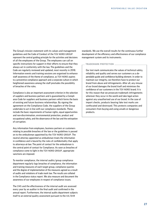The Group's mission statement with its values and management guidelines and the Code of Conduct of the TÜV NORD GROUP represent the central guiding principle for the activities and decisions of all the employees of the Group. The employees can call on specific instructions for support in their efforts to ensure that they always act in conformity with the law. The guidelines and the Code are regularly reviewed and updated, most recently in 2018. Information events and training sessions are organised to enhance staff awareness of the theme of compliance, as TÜV NORD aspires to a preventive compliance approach and a corporate culture in which heightened awareness among the staff precludes the possibility of breaches of the rules.

Compliance is also an important assessment criterion in the selection of suppliers and business partners and is guaranteed by a Compliance Code for suppliers and business partners which forms the basis of existing and future business relationships. By signing the agreement on the Compliance Code, the suppliers of the Group undertake to act in line with our compliance standards. These include the basic requirements of human rights, equal opportunities and non-discrimination, environmental protection, product and occupational safety, and the observance of the law and the extirpation of corruption.

Any information from employees, business partners or customers relating to possible breaches of the law or the guidelines is passed on to the ombudsman appointed by the TÜV NORD GROUP. The neutral attorney appointed as ombudsman treats the information in confidence and is bound by the rules of confidentiality that apply to attorneys-at-law. The point of contact for the ombudsman is the central point of contact for Compliance. As soon as breaches of compliance come to light in the TÜV NORD GROUP, appropriate sanctions are imposed.

To monitor compliance, the internal audits / group compliance department regularly logs breaches of compliance, the information and training measures of each target group, compliance queries and the degree of implementation of the measures agreed as a result of audits and violations of trade mark law. The results are collated in the Compliance status report. We also measure and document the awareness of our employees in respect of compliance issues.

The CMS and the effectiveness of the internal audit are assessed every year by an auditor in the final audit and confirmed in the annual report. Furthermore, the internal audits department subjects itself to an external quality assessment pursuant to the IIA /DIIR

standards. We use the overall results for the continuous further development of the efficiency and effectiveness of our compliance management system and its instruments.

#### **TRADEMARK PROTECTION**

Our test mark communicates the values of technical safety, reliability and quality and serves our customers as a dependable guide and confidence-building element. In order to maintain our integrity, we therefore have to protect our brand from abuse and infringements. After all, any misuse of our brand damages the brand itself and minimises the confidence of our customers in the TÜV NORD brand. It is for this reason that we prosecute trademark infringements wherever they occur in the world and take legal action against any unauthorised use of our brand. In the case of import checks, products bearing fake test marks are confiscated and destroyed. This protects companies and consumers from buying and using unsafe or dangerous products.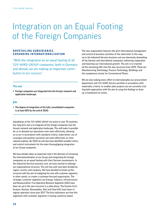## <span id="page-29-0"></span>Integration on an Equal Footing of the Foreign Companies

#### **DOVETAILING SUBSIDIARIES. EXPANDING INTERNATIONALISATION**

"With the integration on an equal footing of all TÜV NORD GROUP companies, both in Germany and abroad, we are making an important contribution to our success."

#### **The aim**

■ Foreign companies are integrated into the Group's network and application landscape.

#### **KPI**

■ The degree of integration of the fully consolidated companies is at least 80% by the end of 2020.

Subsidiaries of the TÜV NORD GROUP are active in over 70 countries. Our long-term aim is to integrate all the foreign companies into the Group's network and application landscape. This will make it possible for us to dovetail our operations even more effectively, allowing us to act in accordance with standard criteria, make better use of synergies and position ourselves yet more effectively on international markets. By 2020 we will also have identified suitable criteria and control instruments for the more thoroughgoing integration of our Group companies.

We have already taken an important step in the direction of increasing the internationalisation of our Group and integrating the foreign companies on an equal footing with their German counterparts. In the Industrial Services business unit, we have started to redesign our organisational structure. The unit has until now been divided by region, country and company. We have decided to break up this structure with the aim of realigning the unit with customer segments, in other words, to create a customer-focused organisation. The strategic customer segments are Energy, Industry, Infrastructure and Resouces4Life. Five Operative Business Segments (OBS) have been set up in the new structure in a pilot phase. The System Certification, Nuclear, Renewables, Rail and Food OBS have been in regular operation since June 2017. The first indications are that this alignment with customer segments is having a positive impact.

The new organisation features the joint international management and control of business activities of the same kind. In this way, we in the Industrial Services business unit are intensively dovetailing all the German and international companies, enhancing cooperation and boosting our international growth. The aim is to transfer all the remaining OBS into the new structure from 2019. These are Manufacturing Technology, Process Technology, Buildings and the competence cluster for Conventional Plants.

We are also making every effort to internationalise our procurement department and TÜV NORD Service portfolio in accordance with materiality criteria. In smaller pilot projects we are currently trialling both approaches with the aim of using the findings to draw up a framework for action.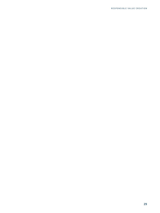#### RESPONSIBLE VALUE CREATION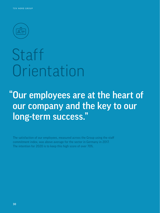<span id="page-31-0"></span>

## **Staff** Orientation

## " Our employees are at the heart of our company and the key to our long-term success."

The satisfaction of our employees, measured across the Group using the staff commitment index, was above average for the sector in Germany in 2017. The intention for 2020 is to keep this high score of over 70%.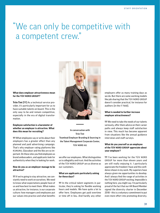## <span id="page-32-0"></span>" We can only be competitive with a competent crew."

#### **What does employer attractiveness mean for the TÜV NORD GROUP?**

**Triin Tint (T T)** As a technical service provider, it's particularly important for us to have suitable talents on board. This is the only way to be and remain competitive, especially in the era of digital transformation.

#### **Employee satisfaction is a barometer of whether an employer is attractive. What does this mean for recruiting?**

**TT** What employees say or write about their employers has a greater effect than any planned and paid advertising campaign. That's why employer rating platforms like KUNUNU, Glassdoor and the like are so important. On these sites you find employees as brand ambassadors, and applicants look for authenticity when they're looking for work.

#### **How do you as an employer manage to be attractive?**

**T T** If we're going to stay attractive, we constantly need to work on ourselves. We need to know what expectations people have of us and how best to meet them. What makes us attractive, for instance, is our corporate culture: how managers and employees put our values into practice and what benefits



In conversation with Triin Tint Teamlead Employer Branding & Sourcing in the Talent Management Corporate Center, TÜV NORD AG

we offer our employees. What distinguishes us is collegiality and trust. And the activities of the TÜV NORD GROUP are as diverse as our customers.

#### **What are applicants particularly asking for these days?**

**TT** In the critical talent segments in particular, they're asking for flexible working hours and models. We have quite a lot to offer here. Employees get paid overtime or time off in lieu. And hardly any other

employers offer as many training days as we do. But there are some working models like job sharing that the TÜV NORD GROUP doesn't consider practical, for instance for auditors (in the IT field).

#### **What is needed to further increase employer attractiveness?**

**TT** We need to take the needs of our talents seriously, offer them advice on their career paths and always keep staff satisfaction in view. This much has become apparent from situations like the annual guidance interviews and staff surveys.

#### **What do you yourself as an employee of the TÜV NORD GROUP appreciate about your employer?**

**TT** I've been working for the TÜV NORD GROUP for more than eleven years and am still really enjoying it. I particularly appreciate the freedom I have and the confidence shown in my work. My superiors have always given me opportunities to develop. And I always find the range of activities in the TÜV NORD GROUP exciting. Impossible is nothing here, you might say. I'm particularly proud of the fact that our HR Board Member signed the diversity charter in December 2018 – this is a voluntary commitment to put even more effort into promoting diversity.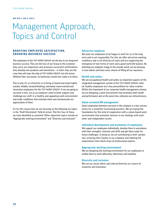#### <span id="page-33-0"></span>**GRI 103-1, 103-2, 103-3**

# Management Approach,  $\sim$  2008. The state of the state of the state of the state of the state of the state of the state of the state of the state of the state of the state of the state of the state of the state of the sta Topics and Control

#### **BOOSTING EMPLOYEE SATISFACTION. ENSURING BUSINESS SUCCESS**

The employees of the TÜV NORD GROUP are the key to our long-term business success. They are the face of our Group to the customer; they carry out inspections and announce successful certifications; they develop new products and innovations – in short: they are the crew that will steer the ship of TÜV NORD GROUP into the future. Without their raw power, no helmsman would ever make it to shore.

This is why it's so critical for us to bring on board and retain highly trained, reliable, forward-thinking, motivated, team-oriented and innovative employees for the TÜV NORD GROUP. If we are going to succeed in this, we as an employer need to both support and challenge our staff: in a healthy and appealing work environment and under conditions that motivate them and communicate our appreciation of them.

It's for this reason that we are focusing on the following six topics in the "Staff Orientation" field of action. The first four of these we have identified as essential. Other important topics include an "Appropriate working environment" and "Diversity and inclusion".

#### **Attractive employer**

We want our employees to be happy to work for us in the long term and to act responsibly. For this we offer attractive working conditions and a rich diversity of tasks and are supporting the emergence of new forms of work and a good work-life balance. By polishing our employer image to the outside world, we are drawing in new talents and have every chance of filling all our vacancies.

#### **Health and safety**

We see occupational health and safety as important aspects of the integrated management system of the TÜV NORD GROUP; after all, healthy employees are a key precondition for value creation. Within the framework of our corporate health management scheme, we are designing a work environment that promotes both health and performance and, at the same time, enhances our attractiveness.

#### **Value-oriented HR management**

Good cooperation between everyone in the company is a key success factor for a smoothly functioning business. We are laying the foundations for this kind of cooperation with a values-based work environment that promotes fairness in our dealings with each other and independent action.

#### **Individual development and promotion of employees**

We support our employees individually, develop them in accordance with their strengths, interests and skills and get them ready for future challenges. In doing so, we are contributing to their satisfaction, ensuring their loyalty to our company and meeting the expectations that clients have of professional experts.

#### **Appropriate working environment**

We are designing the working environment for our employees to enable them to work efficiently, effectively and healthily.

#### **Diversity and inclusion**

We use our social, ethnic and cultural diversity as a source of creativity and innovation.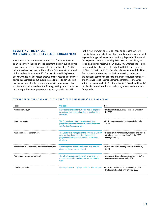#### **RESETTING THE SAILS, MAINTAINING HIGH LEVELS OF ENGAGEMENT**

How satisfied are our employees with the TÜV NORD GROUP as an employer? The employee engagement index in our employee survey provides us with an answer to this question. In 2017, this index was above average for the sector in Germany. We are proud of this, and our intention for 2020 is to maintain this high score of over 70%. It's for this reason that we are not restricting ourselves to standalone measures but but are instead proceeding in a holistic fashion. We have developed a new, group-wide programme called HR4Business and revised our HR Strategy, taking into account the CR Strategy. Five focus projects are planned, starting in 2019.

In this way, we want to reset our sails and prepare our crew effectively for future challenges. For control purposes, we are building on existing guidelines such as the Group Regulation "Personnel Development" and the Leadership Principles. Responsibility for issuing guidelines rests with TÜV NORD AG, whereas their implementation takes place in the decentralised HR divisions and the HR Shared Service unit. The Board of Management and the Group Executive Committee are the decision-making bodies, and the advisory committee consists of human resources managers. The effectiveness of the management approaches is evaluated within the framework of "Beruf und Familie" ("Work and Family") certification as well as other HR audit programmes and the annual Group audit.

| <b>Theme</b>                                      | Our goal                                                                                                                                                  | <b>KPI</b>                                                                                                             |
|---------------------------------------------------|-----------------------------------------------------------------------------------------------------------------------------------------------------------|------------------------------------------------------------------------------------------------------------------------|
| Attractive employer                               | Reputational criteria for TÜV NORD as an employer<br>are defined, systematically collected, analysed and<br>evaluated                                     | • Evaluation of reputational criteria at Group level<br>by 2020                                                        |
| Health and safety                                 | The Occupational Health Management (OHM)<br>programme promotes the health and increases the<br>satisfaction of our employees                              | • Basic requirements for OHM complied with by<br>2020                                                                  |
| Value-oriented HR management                      | The Leadership Principles of the TÜV NORD GROUP<br>are established and executive development<br>programmes introduced to promote our culture<br>of values | • Perception of management guidelines and culture<br>of values is rated at least "good" in the 2020<br>employee survey |
| Individual development and promotion of employees | Flexible options for the professional development<br>of our employees are established                                                                     | • Offers for flexible learning formats available by<br>2020                                                            |
| Appropriate working environment                   | The infrastructure provided and the working envi-<br>ronment support innovative, creative and healthy<br>work                                             | • Analyses of the working environment for 80% of<br>employees at German sites by 2020                                  |
| Diversity and inclusion                           | Equality of opportunity is provided for all employees                                                                                                     | • Indicators and target values defined in 2019<br>• Evaluation of goal attainment from 2020                            |

#### EXCERPT FROM OUR ROADMAP 2020 IN THE "STAFF ORIENTATION" FIELD OF ACTION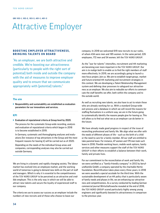#### <span id="page-35-0"></span>**GRI 103-1, 103-2, 103-3, 401-1, 401-3**

## Attractive Employer

#### **BOOSTING EMPLOYER ATTRACTIVENESS, BRINGING TALENTS ON BOARD**

"As an employer, we are both attractive and credible. We're boosting our attractiveness (particularly to people with the right sort of potential) both inside and outside the company with the aid of measures to improve employer quality and to ensure that we communicate appropriately with (potential) talents."

#### **The aim**

■ Responsibility and sustainability are established as evaluation parameters for our innovations and services.

#### **KPI**

■ Evaluation of reputational criteria at Group level by 2020.

The process for the systematic Group-wide recording, analysis and evaluation of reputational criteria which began in 2018 is to become established in 2019.

In Germany, systematic and thoroughgoing analyses and evaluations (for instance of top attractions in the Group and the most frequent reasons for leaving it) will be carried out as of 2020.

Depending on the needs of the individual Group areas and companies, corresponding analyses may also be carried out outside Germany.

We are living in a dynamic and rapidly changing society. The labour market has evolved into an employee market, and the working world of tomorrow is going to demand new skills on the part of staff and managers. Which is why it is essential to the competitiveness of the TÜV NORD GROUP to be perceived as an attractive and credible employer. This is the only way in which we will be able to attract new talents and secure the loyalty of experienced staff to our company.

The criteria we use to assess our success as an employer include the numbers of new recruits and of those who choose to leave our

company. In 2018 we welcomed 619 new recruits to our ranks, of whom 434 were men and 185 women. In the same period, 226 employees, 172 men and 54 women, left the TÜV NORD GROUP.

As the "war for talents" intensifies, recruitment and HR marketing are becoming ever more important in the TÜV NORD GROUP. Our aim is to realign both to enable us to find the right members of staff more effectively. In 2019, we are accordingly going to launch a new focus project, Join us. We aim to establish target-group-, marketand future-oriented HR marketing and recruitment strategies in this context. We are developing a Talent Relationship Management system and defining clear processes to safeguard our attractiveness as an employer. We also aim to redouble our efforts to communicate the staff benefits we offer, both within the company and to the outside world.

As well as recruiting new talents, we also have to act to retain those who are already working for us. With a standard Group-wide exit process and a database in which we will record the reasons for staffing fluctuations in a uniform way, we are in the future going to systematically identify the reasons people give for leaving us. This will allow us to find out what we as an employer can do better in the future.

We have already made good progress in respect of the issue of reconciling professional and family life. We align what we offer with the needs of different phases of life – such as the birth of a child or the need to care for a family member. All our staff are entitled to take parental leave. For instance, 47 women and 179 men took such leave in 2018. Flexible working hours, mobile work options, family services and other measures support the staff of the TÜV NORD GROUP in their efforts to establish a balance between their work, family and private lives.

For our commitment to the reconciliation of work and family life, we were certified as a "family-friendly company" in 2012 by berufundfamilie GmbH, a company operated by the charitable Hertie foundation. Recertification takes place every three years; in 2018 we were awarded a special accolade for the third time. With the sustainable development of an HR policy that is particularly aware of family needs and phases in life, we are enhancing our attractiveness and competitiveness. As a survey conducted by leading German commercial journal Wirtschaftswoche revealed at the end of 2018, the TÜV NORD GROUP scored particularly highly among young engineers and significantly boosted its attractiveness in comparison to the previous year.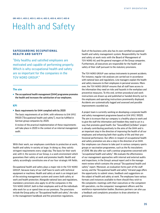### **GRI 403-1, 403-2, 403-3, 403-4, 403-5, 403-6, 403-7, 403-8**

# Health and Safety

# SAFEGUARDING OCCUPATIONAL **HEALTH AND SAFETY**

"Only healthy and satisfied employees are motivated and capable of performing properly. Which is why occupational health and safety are so important for the companies in the TÜV NORD GROUP."

# **The aim**

■ The occupational health management (OHM) programme promotes the health and increases the satisfaction of our employees.

# **KPI**

■ Basic requirements for OHM complied with by 2020

The basic requirements of an OHM, with reference to DIN SPEC 91020 ("Occupational health and safety"), must be fulfilled in German group companies by 2020.

A review of the practical implementation of these requirements will take place in 2020 in the context of an internal management audit.

With their work, our employees contribute to protection at work, health and safety in society at large. In doing so, they satisfy stringent requirements every single day. The basis for their work and, with it, the success of our Group, is a work environment which guarantees their safety at work and promotes health. Health and safety accordingly constitutes one of our four strategic HR fields.

Occupational health and safety plays a major role in the TÜV NORD GROUP, because many of our staff have to work with technical equipment or machines. Health and safety at work is an integral part of the existing management system and covers both safety at work and health protection. Alongside national laws and regulations, mandatory provisions also apply to all the companies in the TÜV NORD GROUP, both to their employees and to all the individuals who work for us or spend time on our premises. The provisions include the Group policy on "Occupational health and safety", the rules in the management handbook and fire prevention regulations.

Each of the business units also has its own certified occupational health and safety management system. Responsibility for health and safety at work rests with the Board of Management of TÜV NORD AG and the general managers of the Group companies. Furthermore, all executives are responsible for the health and safety of their staff pursuant to the statutory provisions.

The TÜV NORD GROUP uses various instruments to prevent accidents. For instance, regular risk analyses are carried out in accordance with national laws and regulations. Line managers explain the health and safety measures to their employees in personal sessions. Moreover, the TÜV NORD GROUP ensures that all staff have access to the information they need on risks and hazards in the workplace and preventive measures. To this end, written procedural and work instructions are drawn up and published or handed directly out to the employees and operating instructions prominently displayed. Accidents are systematically logged and assessed and possible improvements sounded out.

A project team is currently working on developing a corporate health and safety management programme based on DIN SPEC 91020. The aim is to ensure that our company is a healthy place to work and to give the staff the information and freedom they need to act in a way that promotes good health. Our "Gesund(heit) (er)leben" project is already contributing positively to the aims of the OHM and is an important step in the direction of improving the health of all our employees and enhancing both their quality of life and their professional performance. Our offers in respect of occupational health and safety promotion are also a step in the direction of an OHM. Our employees can choose to take part in various company sports groups or vaccination programmes, such as the flu inoculations of 2018. We also offer our staff a seminar programme concerned with "occupational health and safety". We evaluate the effectiveness of our management approaches with internal and external audits and inspections, in the Group's annual report and in the management review which contains the annual "Occupational health and safety" report. Moreover, an evaluation forms part of the staff survey, and the "Occupational health and safety" Intranet page offers the opportunity to submit views, feedback and suggestions on the subject of health and safety at work. The employees have various formats and instances available to them should they wish to file complaints: meetings with their executives or the competent HR specialists, via the companies' management officers and the workforce representation bodies. Business partners can also use a feedback and complaints procedure to draw attention to grievances.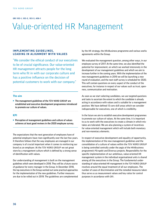**GRI 103-1, 103-2, 103-3, 406-1**

# Value-oriented HR Management

# **IMPLEMENTING GUIDELINES. LEADING IN ALIGNMENT WITH VALUES**

"We consider the ethical conduct of our executives to be of crucial significance. Our value-oriented HR management attracts people for the long term who fit in with our corporate culture and has a positive influence on the decision of potential customers to work with our company."

# **The aim**

■ The management guidelines of the TÜV NORD GROUP are established and executive development programmes introduced to promote our culture of values.

# **KPI**

■ Perception of management guidelines and culture of values achieves at least good reviews in the 2020 employee survey.

The expectations that the next generation of employees have of potential employers have risen significantly over the last few years. It therefore follows that the way employees are managed in our company is of crucial important when it comes to reinforcing our brand as an employer. At the TÜV NORD GROUP we set great store by a management culture which is defined by a strong sense of identification with values.

Our understanding of management is built on the management guidelines which were developed in 2018. They will be a future source of guidance for every manager in the Group. In December 2018, the top executives in the Group worked out some practical approaches for the implementation of the new guidelines. Further measures are due to be rolled out in 2019. The guidelines are complemented by the HR strategy, the HR4Business programme and various works agreements within the Group.

We evaluated the management question, among other ways, in our employee survey of 2017. At the same time, we also identified the potential for improvement, on which we worked intensively in the development of our management guidelines and which we aim to increase further in the coming years. With the implementation of the new management guidelines in 2019 we will be launching a new round of evaluation, and the next staff survey is scheduled for 2020. This will contain questions on every aspect of the conduct of the executives, for instance in respect of our values such as trust, openness, communication and motivation.

As soon as we start selecting candidates, we use targeted questions and tasks to ascertain the extent to which the candidate is already acting in accordance with values and is suitable for a management position. We have defined 13 core skill areas which we consider indispensable for executives, one of which is credibility.

In the future we aim to establish executive development programmes to promote our culture of values. At the same time, it is important to us to work with the executives to create a climate in which mistakes are tolerated. We are also planning a system of incentives for value-oriented management which will include both monetary and non-monetary elements.

In respect of executive development and equality of opportunity, the implementation of the new management guidelines and the consolidation of a culture of values within the TÜV NORD GROUP is being controlled centrally under the aegis of the HR4Business programme's PErspekt and Diversus projects. Responsibility for the specific implementation of our ambitious, value-oriented HR management system in the individual organisational units is shared among all the executives in the Group. The fundamental understanding of value-oriented HR management in the TÜV NORD GROUP revolves around the equal treatment of all our employees. The number of cases of discrimination and the remedial measures taken thus serve us as measurement values and key ratios for control purposes in accordance with GRI.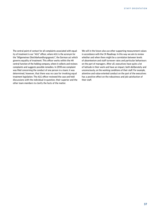The central point of contact for all complaints associated with equality of treatment is our "AGG" officer, where AGG is the acronym for the "Allgemeines Gleichbehandlungsgesetz", the German act which governs equality of treatment. This officer works within the HR central function of the holding company, where it collects and reviews complaints and suggests possible remedies. In 2018 one complaint was filed concerning the conduct of one person in a team; it was determined, however, that there was no case for invoking equal treatment legislation. The AGG officer reviewed the case and held discussions with the individual in question, their superior and the other team members to clarify the facts of the matter.

We will in the future also use other supporting measurement values in accordance with the CR Roadmap. In this way we aim to review whether and when there might be a correlation between levels of absenteeism and staff turnover rates and particular behaviours on the part of managers. After all, executives have quite a lot of latitude in their work and have an impact, both deliberately and unconsciously, on the working conditions of their staff. For example, attentive and value-oriented conduct on the part of the executives has a positive effect on the robustness and job satisfaction of their staff.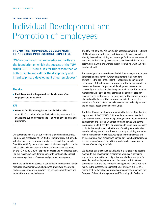### **GRI 103-1, 103-2, 103-3, 404-1, 404-2**

# Individual Development and Promotion of Employees

# **PROMOTING INDIVIDUAL DEVELOPMENT. REINFORCING PROFESSIONAL EXPERTISE**

"We're convinced that knowledge and skills are the foundation on which the success of the TÜV NORD GROUP is built. It's for this reason that we both promote and call for the disciplinary and interdisciplinary development of our employees."

# **The aim**

■ Flexible options for the professional development of our employees are established.

# **KPI**

■ Offers for flexible learning formats available by 2020

As of 2020, a pool of offers of flexible learning formats will be available to our employees for their individual development and promotion.

Our customers can rely on our technical expertise and neutrality. For instance, employees of TÜV NORD Mobilität carry out periodic vehicle inspections to promote safety on the road. And experts from TÜV NORD Systems play a major role in ensuring that complex industrial installations are safe. All the professional services offered by the TÜV NORD GROUP depend on expert and well-trained staff. For this reason, we consider it important to continuously support and encourage their professional and personal development.

There are a number of policies in our company in relation to human resources development, annual guidance interviews, orientation and assessment centres, in which the various competencies and jurisdictions are also laid down.

The TÜV NORD GROUP is certified in accordance with DIN EN ISO 9001 and has also undertaken in this respect to systematically identify the need for training and to arrange for internal and external initial and further training measures to cover the need that is thus determined. In 2018, the average budget for training was €1,067 per member of staff.

The annual guidance interview with their line manager is an important starting point for the further development of all members of staff. It is the task of the Talent Management department in the annual HR development conferences of the business units to determine the need for personnel development measures not covered by the professional training already in place. The board of management, HR development team and HR directors also participate in these conferences. The measures for the coming year are planned on the basis of the conference results. In future, the intention is for the conferences to be even more closely aligned with the individual needs of the business units.

The Talent Management team works with the Internal Qualification department of the TÜV NORD Akademie to develop interdisciplinary qualifications. The annual planning meeting between the HR development and Internal Qualification teams serves as a control instrument. In 2018, the decision was made to focus more intensely on digital learning formats, with the aim of making more extensive interdisciplinary use of them. There is currently a training format for middle management which features digital learning formats, and an international pilot project was carried out in 2018. Negotiations are still ongoing concerning a Group-wide works agreement on the use of e-learning materials.

We develop our executives at all levels in a target-group-specific manner. In this development programme, we place a particular emphasis on innovation and digitalisation. Middle managers, for example, heads of department, who function as a link between operational staff and the top tier of management, have a key role to play in the successful implementation of strategy. It is for this reason that we have teamed up with our cooperation partner, the European School of Management and Technology in Berlin, to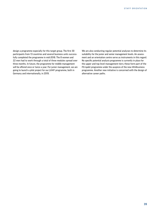design a programme especially for this target group. The first 30 participants from 13 countries and several business units successfully completed the programme in mid-2018. The 8 women and 22 men had to work through a total of three modules spread over three months. In future, the programme for middle management will be offered once or twice a year. For junior management, we are going to launch a pilot project for our JUMP programme, both in Germany and internationally, in 2019.

We are also conducting regular potential analyses to determine its suitability for the junior and senior management levels. An assessment and an orientation centre serve as instruments in this regard. No specific potential analysis programme is currently in place for the upper and top level management tiers; these form part of the PErspekt programme under the auspices of the new HR4Business programme. Another new initiative is concerned with the design of alternative career paths.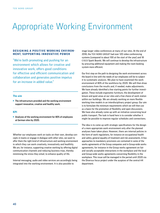# Appropriate Working Environment

# **DESIGNING A POSITIVE WORKING ENVIRON-MENT, SUPPORTING INNOVATIVE POWER**

"We're both promoting and pushing for an environment which allows for creative and innovative work, offers good conditions for effective and efficient communication and collaboration and generates positive impetus for an increase in added value."

# **The aim**

■ The infrastructure provided and the working environment support innovative, creative and healthy work.

# **KPI**

■ Analyses of the working environment for 80% of employees at German sites by 2020.

Whether our employees work on tasks on their own, develop concepts in teams or engage in dialogue with other sites, we want to offer them the right kind of infrastructure and working environment in which they can work creatively, innovatively and healthily. We are, for instance, supporting creative working by offering digital communication channels and reducing business trips, thereby minimising the stress they entail, to enhance quality of life.

Internal messaging, audio and video services are accordingly being integrated into the working environment. It is also possible to

stage larger video conferences at many of our sites. At the end of 2018, the TÜV NORD GROUP had over 120 video conferencing systems (compared to about 100 at the start of the year) and 18 CISCO Spark Boards. We will continue to develop the infrastructure by procuring additional equipment and making the room booking system more efficient.

Our first step on the path to designing the work environment across the board in line with the needs of our employees will be to subject it to systematic analysis. We plan to have examined the work environment of 80% of the workforce by 2020. We will then draw conclusions from the results and, if needed, make adjustments. We have already identified a few starting points for further investigation. These include ergonomic furniture, the development of leisure and quiet areas at our sites and a free choice of work station within our buildings. We are already working on more flexible working time models in an interdisciplinary project group. Our aim is to formulate the minimum requirements which we will then use as a basis for the promotion of flexibility and open discussions. We have also already come up with an initiative concerning local public transport. The task in hand here is to consider whether it might be possible to improve regular schedules and connections.

The idea is to come up with strategic specifications for the design of a more appropriate work environment only after the planned analyses have taken place. However, there are internal policies in the form of work regulations, for instance on occupational health and safety, general equality of treatment and risk assessments. A few approaches to mandatory provisions are contained in some of the works agreements of the Group companies and in Group-wide works agreements, for instance in the Group works agreement on fair and socially acceptable interactions in the workplace and the local and Group-wide works agreements concerning flexibility in the workplace. This issue will be managed in the period until 2020 via the Diversus focus project under the auspices of the central HR department.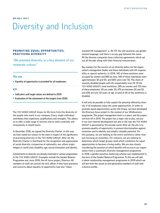**GRI 405-1, 405-2**

# Diversity and Inclusion

# **PROMOTING EQUAL OPPORTUNITIES, PRACTISING DIVERSITY**

"We promote diversity as a key element of our corporate culture."

# **The aim**

■ Equality of opportunity is provided for all employees.

# **KPI**

- Indicators and target values are defined in 2019.
- Evaluation of the attainment of the targets from 2020.

The TÜV NORD GROUP draws its life force from the diversity of the people who work in our company. Every single individual contributes their experience, qualifications and strengths. This allows us to offer a wide range of services and to work creatively and innovatively in mixed teams.

In December 2018, we signed the Diversity Charter. In this way, we have nailed our colours to the mast in respect of the significance of practising diversity in the TÜV NORD GROUP. After all, the Diversity Charter is shorthand for the recognition and appreciation of social diversity, irrespective of nationality, sex, ethnic origin, religion or world view, disability, age, sexual orientation and identity.

Commitments to diversity are already enshrined in various programmes in the TÜV NORD GROUP. Examples include the Gender Balance Programme and, since 2019, the HR focus project, Diversus. All members of staff can consult the AGG officer if they have questions and concerns about equality of opportunity (see also "Valueoriented HR management", p. 36–37). Our job vacancies use genderneutral language, and there is no pay gap between the sexes. All the German companies have collective agreements which set out all the jobs along with their financial remuneration.

Key markers for the success of our diversity policy are the organisation's management bodies and those individuals with HR responsibility or special authority. In 2018, 14% of these positions were occupied by women and 86% by men; 34% of these individuals were aged between 30 and 50, and 66% were over 50. The share of severely disabled people with HR responsibility was 2%. Of the TÜV NORD GROUP's total workforce, 28% are women and 72% men; of these employees, 9% are under 30, 47% are between 30 and 50, and 44% are over 50 years of age. A total of 4% of the workforce is disabled.

It will only be possible to fully exploit the potential offered by diversity if all employees enjoy the same opportunities. In order to promote equal opportunities across the Group, we have developed the Diversus focus project in the context of our HR4Business programme. The project management team is in place, and the project will kick off in 2019. The project has a major role to play, not just in our own internal development but also in the way the TÜV NORD GROUP is perceived by the outside world. After all, the aim is to promote equality of opportunity, to prevent discrimination against minorities and to identify and amplify valuable potential. For this purpose, we are looking at the entire workforce rather than just focusing on minorities. For instance, we are seeking to determine which target groups need which conditions for equal opportunities to become a living reality. We are also closely considering the question of which benefits will accrue to our organisation from a systematic diversity management programme. In 2018, a gender-sensitive mentoring scheme was implemented in the form of the Gender Balance Programme. To this we will add a talent relationship management programme in 2019 which we will aim from the outset at next-generation members of staff with a diverse profile.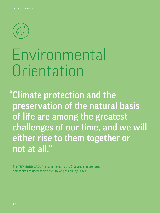# Environmental **Orientation**

Environted pro<br>
Constants and approximate<br>
of life are and challenges of<br>
either rise t<br>
not at all."<br>
The TÜV NORD GROUP is committ<br>
and aspires to <u>decarbonise as fully</u><br>
and aspires to <u>decarbonise as fully</u><br>
and aspire " Climate protection and the preservation of the natural basis of life are among the greatest challenges of our time, and we will either rise to them together or not at all."

The TÜV NORD GROUP is committed to the 2-degree climate target and aspires to decarbonise as fully as possible by 2050.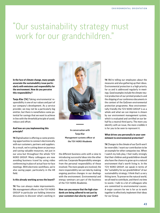# work for our grandchildren."

**In the face of climate change, many people associate the sustainability issue particularly with emissions and responsibility for the environment. How do you perceive this responsibility?** 

**Tanja Klar (TK)** Taking environmental responsibility is one of our values and part of our company's development. As a service provider, we may not be a particularly big emitter, but there is nonetheless some potential for savings that we want to achieve in line with the threefold principle of avoid, reduce and offset.

# **And how are you implementing this principle?**

**TK** Digitalisation is offering us some promising opportunities to connect electronically with our customers, partners and suppliers. As a result, we're cutting down on journeys and saving valuable resources, not just in our area but throughout the whole TÜV NORD GROUP. Many colleagues are now avoiding business travel by using video conferencing in place of actual face-to-face meetings. With electronic workflows, we're also saving paper, particularly in the HR field.

# **Is this already working across the board?**

**TK** You can always make improvements. We management officers in the TÜV NORD GROUP in particular are holding intensive discussions to discover what's working in



In conversation with Tanja Klar Management systems officer at the TÜV NORD Akademie

the different business units with a view to introducing successful ideas into the other units too. Corporate Responsibility emerges from the personal responsibility of those involved. The more people are involved, the more responsibility we can take by making ongoing positive changes in our dealings with the environment. Environmental and energy seminars are part of the business of the TÜV NORD Akademie.

**How can you ensure that the high standards are being adhered to not just by your customers but also by your staff ?**

**TK** We're telling our employees about the measures and also gathering up their ideas. Environmental protection is a high priority for us and is addressed regularly in meetings. Good examples include the climate-neutral production of our printed products and the shipping of our conference documents in the context of the GoGreen environmental protection programme. How environmentally friendly the TÜV NORD GROUP is as a whole and what we can improve is shown by our environment management system, which is evaluated and certified on our behalf by a neutral third party. The more you identify with an issue, the more credible it is for you to be seen to represent it.

# **What drives you personally in your commitment to environmental protection?**

**TK** Changes to the climate of our Earth won't be reversible. I want our contribution to be an example for other companies too. When I watch my kids play, I feel really strongly that their children and grandchildren should also have the chance to grow up in a natural environment that's worth living in. In the TÜV NORD GROUP, we speak in terms of the "suitability for our grandchildren" of our sustainability strategy. I think that's a very fitting term. To preserve the natural world, we all need to contribute, and there's no time to waste. I talk to a lot of colleagues who are committed to environmental causes. A major concern for me is for us to work together to effectively implement their ideas for our Group.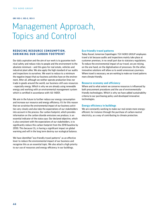# **GRI 103-1, 103-2, 103-3**

# Topics and Control

# **REDUCING RESOURCE CONSUMPTION. SHRINKING OUR CARBON FOOTPRINT**

Management Approximation of the train and the system of the system of the system of the system of the system of the system of the system of the system of the system of the system of the system of the system of the system Our daily aspiration and the aim of our work is to guarantee technical safety and reduce risks to people and the environment to the absolute minimum – and this goes for real estate, vehicles and industrial plant alike. We also apply the high standard of our audits and inspections to ourselves. We want to reduce to a minimum the negative impact that our business activities have on the environment. After all, although we neither operate production lines nor trade in goods around the world, our business still uses resources – especially energy. Which is why we are already using renewable energy and working with an environmental management system which is certified in accordance with ISO 14001.

We aim in the future to further reduce our energy consumption and increase our resource and energy efficiency. It's for this reason that we scrutinise the environmental impact of our business activities very closely and also take the expectations of our stakeholders into account in the process. Our carbon footprint, which provides information on the carbon dioxide emissions we produce, is an essential indicator of the status quo. Our declared objective, which is also consistent with the expectations of our stakeholders, is to significantly reduce this carbon footprint from the 2018 baseline by 2050. This because  $CO<sub>2</sub>$  is having a significant impact on global warming and will in the long term destroy our ecological balance.

We have identified "eco-friendly travel patterns" as an effective lever to reduce the environmental impact of our business and recognise this as an essential topic. We also attach a high priority to our use of resources and energy efficiency in our buildings.

### **Eco-friendly travel patterns**

Today Kassel, tomorrow Copenhagen: TÜV NORD GROUP employees travel a lot because audits and inspections mainly take place at customer premises, in no small part due to statutory regulations. To reduce the environmental impact of our travel, we are relying, on the one hand, on the digitalisation of processes. On the other, innovative solutions will allow us to avoid unnecessary journeys. Where travel is necessary, we are working to make our travel patterns more climate-friendly.

# **Resource economy and efficiency**

Where and to what extent we conserve resources is influenced by both procurement procedures and the use of environmentallyfriendly technologies. Which is why we have added sustainability criteria to our purchasing policy and developed innovative technologies.

### **Energy efficiency in buildings**

We are constantly working to make our real estate more energyefficient, for instance through the purchase of carbon-neutral electricity, as a way of contributing to climate protection.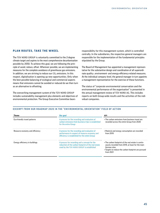# EXCERPT FROM OUR ROADMAP 2020 IN THE "ENVIRONMENTAL ORIENTATION" FIELD OF ACTION

| <b>PLAN ROUTES, TAKE THE WHEEL</b><br>The TÜV NORD GROUP is voluntarily committed to the 2-degree<br>climate target and aspires to the most comprehensive decarbonisation<br>possible by 2050. To achieve this goal, we are following the prin-<br>ciple of avoid, reduce, offset. Wherever possible, we are implementing<br>measures for the complete avoidance of greenhouse gas emissions.<br>In addition, we are striving to reduce our $CO2$ emissions. In this<br>respect, digitalisation is opening up new opportunities. Only when<br>the best possible balancing of ecological and commercial aspects<br>means that emissions cannot be avoided or reduced do we then turn<br>as an alternative to offsetting.<br>The overarching management system of the TÜV NORD GROUP |                                                                                                                                                   | responsibility for this management system, which is controlled<br>centrally. In the subsidiaries, the respective general managers are<br>responsible for the implementation of the fundamental principles<br>stipulated by the Group.<br>The Board of Management has appointed a management represen-<br>tative for the substantive design and coordination of all superordi-<br>nate quality-, environment- and energy-efficiency-related measures.<br>At the individual company level, the general manager in turn appoints<br>a management representative for the exercise of these functions.<br>The status of "corporate environmental conservation and the<br>environmental performance of the organisation" is presented in<br>the annual management review of TÜV NORD AG. This includes |                                                                                                                                                                                               |  |  |
|------------------------------------------------------------------------------------------------------------------------------------------------------------------------------------------------------------------------------------------------------------------------------------------------------------------------------------------------------------------------------------------------------------------------------------------------------------------------------------------------------------------------------------------------------------------------------------------------------------------------------------------------------------------------------------------------------------------------------------------------------------------------------------|---------------------------------------------------------------------------------------------------------------------------------------------------|--------------------------------------------------------------------------------------------------------------------------------------------------------------------------------------------------------------------------------------------------------------------------------------------------------------------------------------------------------------------------------------------------------------------------------------------------------------------------------------------------------------------------------------------------------------------------------------------------------------------------------------------------------------------------------------------------------------------------------------------------------------------------------------------------|-----------------------------------------------------------------------------------------------------------------------------------------------------------------------------------------------|--|--|
| includes sustainability management plus elements and objectives of<br>environmental protection. The Group Executive Committee bears<br>EXCERPT FROM OUR ROADMAP 2020 IN THE "ENVIRONMENTAL ORIENTATION" FIELD OF ACTION                                                                                                                                                                                                                                                                                                                                                                                                                                                                                                                                                            |                                                                                                                                                   | vidual companies.                                                                                                                                                                                                                                                                                                                                                                                                                                                                                                                                                                                                                                                                                                                                                                                | reports on both Group-wide results and the activities of the indi-                                                                                                                            |  |  |
| <b>Theme</b>                                                                                                                                                                                                                                                                                                                                                                                                                                                                                                                                                                                                                                                                                                                                                                       | Our goal                                                                                                                                          |                                                                                                                                                                                                                                                                                                                                                                                                                                                                                                                                                                                                                                                                                                                                                                                                  | KPI                                                                                                                                                                                           |  |  |
| Eco-friendly travel patterns                                                                                                                                                                                                                                                                                                                                                                                                                                                                                                                                                                                                                                                                                                                                                       | A process for the recording and evaluation of<br>for the entire Group                                                                             | carbon emissions from business trips is established                                                                                                                                                                                                                                                                                                                                                                                                                                                                                                                                                                                                                                                                                                                                              | • The carbon emissions from business travel are<br>recorded across the entire Group from 2020                                                                                                 |  |  |
| Resource economy and efficiency                                                                                                                                                                                                                                                                                                                                                                                                                                                                                                                                                                                                                                                                                                                                                    | A process for the recording and evaluation of<br>performance in respect of resource economy and<br>efficiency is established for the entire Group |                                                                                                                                                                                                                                                                                                                                                                                                                                                                                                                                                                                                                                                                                                                                                                                                  | • Material and energy consumption are recorded<br>from 2019                                                                                                                                   |  |  |
| Energy efficiency in buildings                                                                                                                                                                                                                                                                                                                                                                                                                                                                                                                                                                                                                                                                                                                                                     | A process for recording and a concept for the<br>used by the TÜV NORD GROUP is established                                                        | reduction of the carbon footprint of the real estate                                                                                                                                                                                                                                                                                                                                                                                                                                                                                                                                                                                                                                                                                                                                             | • The carbon footprint of the real estate is contin-<br>uously recorded from 2019, at least for the main<br>German sites<br>• Targets to reduce the carbon footprint are pursued<br>from 2021 |  |  |
|                                                                                                                                                                                                                                                                                                                                                                                                                                                                                                                                                                                                                                                                                                                                                                                    |                                                                                                                                                   |                                                                                                                                                                                                                                                                                                                                                                                                                                                                                                                                                                                                                                                                                                                                                                                                  |                                                                                                                                                                                               |  |  |
|                                                                                                                                                                                                                                                                                                                                                                                                                                                                                                                                                                                                                                                                                                                                                                                    |                                                                                                                                                   |                                                                                                                                                                                                                                                                                                                                                                                                                                                                                                                                                                                                                                                                                                                                                                                                  |                                                                                                                                                                                               |  |  |
|                                                                                                                                                                                                                                                                                                                                                                                                                                                                                                                                                                                                                                                                                                                                                                                    |                                                                                                                                                   |                                                                                                                                                                                                                                                                                                                                                                                                                                                                                                                                                                                                                                                                                                                                                                                                  |                                                                                                                                                                                               |  |  |
|                                                                                                                                                                                                                                                                                                                                                                                                                                                                                                                                                                                                                                                                                                                                                                                    |                                                                                                                                                   |                                                                                                                                                                                                                                                                                                                                                                                                                                                                                                                                                                                                                                                                                                                                                                                                  |                                                                                                                                                                                               |  |  |
|                                                                                                                                                                                                                                                                                                                                                                                                                                                                                                                                                                                                                                                                                                                                                                                    |                                                                                                                                                   |                                                                                                                                                                                                                                                                                                                                                                                                                                                                                                                                                                                                                                                                                                                                                                                                  | 45                                                                                                                                                                                            |  |  |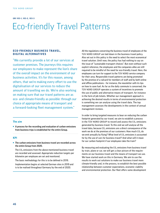### **GRI 103-1, 103-2, 103-3**

# Eco-friendly Travel Patterns

# **ECO-FRIENDLY BUSINESS TRAVEL. DIGITAL ALTERNATIVES**

"We currently provide a lot of our services at customer premises. The journeys this requires our employees to make represent the lion's share of the overall impact on the environment of our business activities. It's for this reason, among others, that we're making every effort to use the digitalisation of our services to reduce the amount of travelling we do. We're also working on making sure that our travel patterns are as eco- and climate-friendly as possible: through our choice of appropriate means of transport and a forward-looking fleet management system."

# **The aim**

■ A process for the recording and evaluation of carbon emissions from business trips is established for the entire Group.

# **KPI**

■ The carbon emissions from business travel are recorded across the entire Group from 2020.

The CO<sub>2</sub> emissions from the above-mentioned business travel are recorded and assessed. Appropriate reduction targets per kilometre per employee are set and monitored.

The basic methodology for this is to be defined in 2019.

Implementation begins at selected German sites in 2019 and is to be realised throughout Germany by the end of 2020.

All the regulations concerning the business travel of employees of the TÜV NORD GROUP are laid down in the business travel policy. Also set out in this policy is the need to select the most economical travel solution. Until now, the policy has had nothing to say on the issue of "sustainable transport choices". But even without such explicit reference, the employees and the companies alike are still required to be mindful of the need for eco-friendly travel. Here, the employees can turn for support to the TÜV NORD service company for their area. Responsible travel patterns are being promoted by the promise of a railcard for members of staff and by both online and offline publications – for instance, the newsletter with its tips on how to save fuel. As far as the daily commute is concerned, the TÜV NORD GROUP operates a system of incentives to promote the use of public and alternative means of transport, for instance in the form of job tickets. Whether our management approach is achieving the desired results in terms of environmental protection is something we can analyse using the travel data. The top management assesses the developments in the context of annual management reviews.

In order to bring targeted measures to bear on reducing the carbon footprint generated by our travel, we aim to establish a process in the TÜV NORD GROUP to record and assess the  $CO<sub>2</sub>$  emissions generated by business travel. To this end we will analyse all the travel data, because CO₂ emissions are a direct consequence of the work we do at the premises of our customers: How much CO2 do we emit annually by flying? What level of CO<sub>2</sub> emissions is accounted for by the use of cars for business travel? And what will it mean for our carbon footprint if our employees take the train?

By measuring and evaluating the  $CO<sub>2</sub>$  emissions from business travel by train, plane or car, we will get a clear picture of the requirements on our business travel and the means of transport we use. We have started work on this in Germany. We aim to use the results to work out solutions to make our business travel more climate-friendly and, in the process, to establish the best possible relationship between customer expectations, economic viability and environmental protection. Our fleet offers some development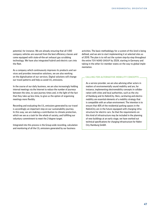potential, for instance. We are already ensuring that all 1,100 company vehicles are sourced from the best efficiency classes and come equipped with state-of-the-art exhaust gas scrubbing technology. We have also integrated hybrid and electric cars into the fleet.

As a company which continuously improves its products and services and provides innovative solutions, we are also working on the digitalisation of our services. Digital solutions will change our travel patterns and help us avoid CO<sub>2</sub> emissions.

In the course of our daily business, we are also increasingly holding internal meetings via the Internet to reduce the number of journeys between the sites, to save journey times and, in the light of the fact that they take up less time, to give us the option of organising meetings more flexibly.

Recording and evaluating the CO<sub>2</sub> emissions generated by our travel is accordingly an important step on our sustainability journey. In this way, we are making a contribution to climate protection, which we see as a task for the whole of society, and fulfilling our voluntary commitment to meet the 2-degree target.

Integrated into this process is the Group-wide recording, calculation and monitoring of all the CO<sub>2</sub> emissions generated by our business

activities. The basic methodology for a system of this kind is being defined, and we aim to start implementing it at selected sites as of 2019. The plan is to roll out the system step-by-step throughout the entire TÜV NORD GROUP by 2024, starting in Germany and taking in the other EU member states on the way to global implementation.

### **CALLING FOR ALTERNATIVE MOBILITY CONCEPTS**

As a service provider, we are also advising other actors in matters of environmentally sound mobility and are, for instance, implementing electromobility concepts in collaboration with cities and local authorities, such as the city of Hamburg and its HafenCity. Here, carsharing and electromobility are essential elements of a mobility strategy that is compatible with an urban environment. The intention is to ensure that 40% of the residential parking spaces in the HafenCity are in the future equipped with charging infrastructure for electric cars. So that the requirements on this kind of infrastructure may be included in the planning of new buildings at an early stage, we have worked out technical specifications for charging infrastructure for Hafen-City Hamburg GmbH.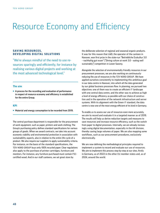# Resource Economy and Efficiency

# **SAVING RESOURCES, DEVELOPING DIGITAL SOLUTIONS**

"We're always mindful of the need to use resources sparingly and efficiently, for instance by realising various digital projects and working at the most advanced technological level."

# **The aim**

■ A process for the recording and evaluation of performance in respect of resource economy and efficiency is established for the entire Group.

# **KPI**

■ Material and energy consumption to be recorded from 2019.

The central purchase department is responsible for the procurement of work equipment, such as paper, printers and work clothing. The Group's purchasing policy defines standard specifications for various groups of goods. When we award contracts, we take into account economic viability and environmental protection in association with sustainability aspects, also in relation to the entire life cycle of a product. We also require our suppliers to apply sustainability criteria. For instance, on the basis of the standard specifications, the TÜV NORD GROUP buys only 100% recycled paper. Clear regulations also apply to the purchase of printer cartridges, furniture and monitors. For instance, any furniture purchased must contain FSCcertified wood. And in our staff canteens, we set great store by

the deliberate selection of regional and seasonal organic products. It was for this reason that L&D, the operator of the canteen in Hanover, won first prize in the state-run "Betriebliche Esskultur 3.0 – nachhaltig gut essen" ("Dining culture at work 3.0 – eating well sustainably") competition in Lower Saxony.

Alongside the selection of environmentally friendly resources in our procurement processes, we are also working on continuously reducing the use of resources in the TÜV NORD GROUP. We have applied ourselves consistently to implementing this ambitious goal in our data centre in Hanover, into which all the data generated by our global business processes flow. In planning, we pursued two objectives: one of them was to create an efficient IT landscape with one central data centre, and the other was to achieve as high a level of energy efficiency as possible with our choice of construction and in the operation of the network infrastructure and server systems. With its alignment with the Green IT standard, the data centre is now one of the most energy-efficient of its kind in Germany.

To enable us to assess our use of resources even more accurately, we aim to record and evaluate it in a targeted manner as of 2019. The results will help us derive reduction targets and measures to save resources and increase resource efficiency, such as the switch from paper to digital processes. Internally, we are already increasingly using digital documentation, especially in the HR division, thereby saving large volumes of paper. We are also mapping some workflows, such as our procurement procedures, exclusively electronically.

We are now defining the methodological principles required to implement a system to record and evaluate our use of resources. We aim to implement this process step-by-step at our sites, firstly in Germany, as of 2022 in the other EU member states and, as of 2024, around the world.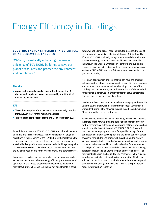# Energy Efficiency in Buildings

# **BOOSTING ENERGY EFFICIENCY IN BUILDINGS, USING RENEWABLE ENERGIES**

"We're systematically enhancing the energy efficiency of TÜV NORD buildings to save our planet's resources and protect the environment and our climate."

# **The aim**

■ A process for recording and a concept for the reduction of the carbon footprint of the real estate used by the TÜV NORD GROUP are established.

# **KPI**

- The carbon footprint of the real estate is continuously recorded from 2019, at least for the main German sites.
- Targets to reduce the carbon footprint are pursued from 2021.

At its different sites, the TÜV NORD GROUP works both in its own buildings and in rented spaces. The responsibility for ongoing operations in the properties of the TÜV NORD GROUP rests with the service company. This company attends to the energy-efficient and sustainable design of the infrastructure in the buildings along with all the necessary services. Furthermore, the companies which use the buildings keep an eye on their use of energy and other resources.

In our own properties, we can use modernisation measures, such as thermal insulation, to boost energy efficiency and economy of operation. In the rented properties our freedom to act is more restricted, but even here we can make a few adjustments in consultation with the landlords. These include, for instance, the use of carbon-neutral electricity or the installation of LED lighting. The TÜV NORD GROUP is already using carbon-neutral electricity from alternative energy sources at nearly all its German sites. For instance, in the Große Bahnstraße in Hamburg, the building is connected to a district heating system, a measure which delivers savings of 500 to 600 tonnes of  $CO<sub>2</sub>$  per annum in comparison to gas central heating.

It is in new construction projects that we can have the greatest influence on the optimal combination of energy efficiency, economy and customer requirements. All new buildings, such as office buildings and test stations, are built on the basis of the standards for sustainable construction; energy efficiency plays a major role here, as does the use of regional utilities.

Last but not least, the careful approach of our employees is contributing to saving energy, for instance through shock ventilation in winter, by turning lights off when leaving the office and switching PC monitors off at the end of the day.

To enable us to assess and control the energy efficiency of the buildings more effectively, we intend to define and implement a system for the recording, calculation and monitoring of Group-wide carbon emissions at the level of the entire TÜV NORD GROUP. We will then use this as a springboard for a Group-wide concept for the optimisation of energy consumption and the minimisation of carbon emissions through the use of renewable, carbon-neutral energy. We have already started recording consumption at some of our own properties in Germany and intend to include other German sites as of 2019; in 2022 we plan to expand the scheme to include buildings at foreign sites. In the long term, we plan to record and assess all the major buildings in the Group. The key parameters in the buildings include gas, heat, electricity and water consumption. Finally, we will use the results to reach conclusions as to how we can specifically save more energy or use carbon-neutral energy, thereby reducing our carbon footprint.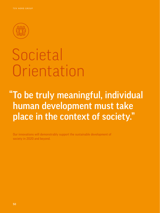# 26T Ü V NOR D GR OUP / C OR P OR AT E R E P OR T Societal **Orientation**

# " To be truly meaningful, individual human development must take place in the context of society."

Our innovations will demonstrably support the sustainable development of society in 2020 and beyond.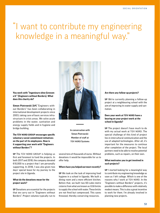# "I want to contribute my engineering knowledge in a meaningful way."

**You work with "Ingenieure ohne Grenzen e.V." (Engineers without Borders). What does this charity do?**

**Simon Piotrowski (SP)** "Engineers without Borders" has been collaborating in international development projects since 2003, taking care of basic services infrastructure in crisis areas. We solve acute problems in the water, sanitation and energy supply fields and in hygiene and bridge building.

# **The TÜV NORD GROUP encourages specific voluntary social commitment initiatives on the part of its employees. How is it supporting your work with "Engineers without Borders"?**

**SP** The TÜV NORD GROUP is helping us first and foremost to fund the projects. In both 2017 and 2018, the company donated  $€10,000$  to a project that I am personally supporting. In 2018, I was also given two days' special leave for my journey to the project site in Uganda.

# **What do the donations mean for the project work?**

**SP** Donations are essential for the projects that we carry out in "Engineers without Borders". Project volumes typically run to



In conversation with Simon Piotrowski Member of staff at TÜV NORD Systems

several tens of thousands of euros. Without donations it would be impossible for us to offer help.

# **Where have you helped out most recently?**

**SP** We took on the task of improving food hygiene in a school in Uganda. We built a dining room and a more efficient kitchen. Before that, we built two 60-cubic-metre cisterns from what are known as ISSB bricks to supply the school with water. These bricks are not fired but compressed. This saves firewood, thereby conserving resources.

### **Are there any follow-up projects?**

**SP** We're currently planning a follow-up project at a neighbouring school with the aim of improving its water supply and sanitation.

# **Does your work at TÜV NORD have a bearing on your project work at the school in Uganda?**

**SP** The project doesn't have much to do with my actual work at TÜV NORD. The special challenge of this kind of project lies in intercultural communication and the use of adapted technologies. After all, it's important for the measures to continue after completion of the project. The local partners need to be able to resolve potential problems, such as repairs, on their own.

# **What motivates you to get involved in such projects?**

**SP** I started looking for a meaningful way to contribute my engineering knowledge as soon as I left college. Which is one of the reasons why I work at TÜV NORD. In the "Engineers without Borders" projects, it's possible to make a difference with relatively modest means. This is also a great incentive to work for them. I'm already involved in planning new projects.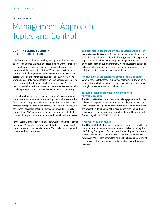# **GRI 103-1, 103-2, 103-3**

# Topics and Control

# **GUARANTEEING SECURITY. SHAPING THE FUTURE**

28Management Approach, Whether we're involved in mobility, energy or health, in all our business segments, we have one clear aim: we want to make life safer and more secure and develop technological solutions for the important global topics of the future. We use our services and products accordingly to generate added value for our customers and society. Outside the immediate bounds of our own work, we're working on security-related topics in various bodies and promoting future-oriented developments, including innovative IT security methods and climate-friendly transport concepts. We see security as a key prerequisite for sustainable development in our society.

So it follows that we relate "Societal orientation" to our work and the opportunities that arise from ensuring that it takes responsible forms: for our company, society and the environment. With the targeted management of sustainability topics in our company, we can identify possible undesirable developments and proactively address them. We're demonstrating our commitment outside the company by supporting the voluntary work done by our employees.

In the "Societal orientation" field of action, we're looking especially at four topics. We've identified our "Societal role in accordance with our vision and mission" as a key theme. This is also associated with three other important topics.

### **Societal role in accordance with our vision and mission**

In our vision and mission, we formulate our role in society and the aspiration that guides our actions. In this way, we're having a positive impact on the activities in our company and generating a direct or indirect effect on our environment. We're developing solutions in line with the state of the art and contributing our expertise to public discussions in committees and projects.

### **Involvement of stakeholders beyond the value chain**

What is the societal effect of our service portfolio? And what do we need to develop further? We're getting answers to these questions through the feedback from our stakeholders.

# **Targeted social engagement consistent with our value creation**

The TÜV NORD GROUP encourages social engagement which has a direct bearing on its value creation and / or plays an active role in those local and regional communities where it or its employees are present. In doing so we act in accordance with the binding specifications laid down in our Group Regulation "Donation and Sponsoring within TÜV NORD GROUP".

### **Respect for human rights**

The TÜV NORD GROUP respects human rights and is committed to the voluntary implementation of important policies, including the UN Guiding Principles on Business and Human Rights, the sustainable Development Goals and the German CSR Directive Implementation Act. We are also committed to the structured exploration of this subject within the company and in relation to our business partners.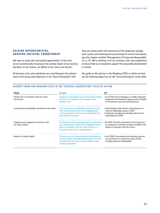# **SHAPING SOCIETAL COMMITMENT**

| <b>SEIZING OPPORTUNITIES,</b><br><b>SHAPING SOCIETAL COMMITMENT</b>                                                                                                                                        |                                                                                                                                                                                  | They are acting within the framework of the integrated manage-<br>ment system and following the overarching CR control instruments<br>(see the chapter entitled "Management of Corporate Responsibili- |                                                                                                                                                                         |  |  |
|------------------------------------------------------------------------------------------------------------------------------------------------------------------------------------------------------------|----------------------------------------------------------------------------------------------------------------------------------------------------------------------------------|--------------------------------------------------------------------------------------------------------------------------------------------------------------------------------------------------------|-------------------------------------------------------------------------------------------------------------------------------------------------------------------------|--|--|
| We want to avoid risks and exploit opportunities. To this end,<br>we are systematically focusing on the societal impact of our business<br>decisions. In our actions, we adhere to our vision and mission. |                                                                                                                                                                                  | ty", p. 11). We're working in all our business units and subsidiaries<br>to ensure that our innovations support the sustainable development<br>of society.                                             |                                                                                                                                                                         |  |  |
| All business units and subsidiaries are contributing to the achieve-<br>ment of the Group-wide objectives in the "Social Orientation" field.                                                               |                                                                                                                                                                                  |                                                                                                                                                                                                        | Our guide on this journey is the Roadmap 2020, in which we have<br>set the following objectives for the "Social Orientation" action field:                              |  |  |
| EXCERPT FROM OUR ROADMAP 2020 IN THE "SOCIETAL ORIENTATION" FIELD OF ACTION                                                                                                                                |                                                                                                                                                                                  |                                                                                                                                                                                                        |                                                                                                                                                                         |  |  |
| Theme                                                                                                                                                                                                      | Our goal                                                                                                                                                                         |                                                                                                                                                                                                        | KPI                                                                                                                                                                     |  |  |
| Societal role in accordance with our vision<br>and mission                                                                                                                                                 | and serves as a guide for the strategies of the<br>business units                                                                                                                | Corporate responsibility is part of the Group strategy                                                                                                                                                 | • As of 2020, the CR Strategy is a solidly integrated<br>component of the Group's strategy and the strategies<br>of the business units and functional areas             |  |  |
| Involvement of stakeholders beyond the value chain                                                                                                                                                         | The involvement of stakeholders beyond the value<br>chain has taken place and the knowledge gained<br>been taken into account                                                    | in the management of Corporate Responsibility has                                                                                                                                                      | • Initial dialogue with relevant representatives of<br>external stakeholder groups in 2019<br>• Systematic procedures for dealing with external<br>stakeholders by 2020 |  |  |
| Targeted social engagement consistent with<br>our value creation                                                                                                                                           | place in accordance with our value creation or in<br>association with local or regional projects                                                                                 | The donations and sponsorship projects in the Group<br>are systematically recorded. The engagement takes                                                                                               | . By 2020, the total commitment of the Group and<br>its companies is centrally recorded, and 80% of the<br>volume is consistent with the criteria                       |  |  |
| Respect for Human Rights                                                                                                                                                                                   | The processes for the assessment of and adherence<br>to human rights have been implemented in line with<br>the National Action Plan for Human Rights of the<br>German government |                                                                                                                                                                                                        | • As of 2020, risk analyses and resulting measures<br>are carried out on a continuous basis and the<br>resulting measures implemented                                   |  |  |
|                                                                                                                                                                                                            |                                                                                                                                                                                  |                                                                                                                                                                                                        |                                                                                                                                                                         |  |  |
|                                                                                                                                                                                                            |                                                                                                                                                                                  |                                                                                                                                                                                                        |                                                                                                                                                                         |  |  |
|                                                                                                                                                                                                            |                                                                                                                                                                                  |                                                                                                                                                                                                        | 53                                                                                                                                                                      |  |  |

## EXCERPT FROM OUR ROADMAP 2020 IN THE "SOCIETAL ORIENTATION" FIELD OF ACTION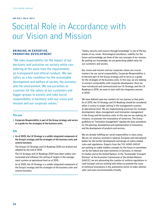### **GRI 103-1, 103-2, 103-3**

# Societal Role in Accordance with our Vision and Mission

# **BRINGING IN EXPERTISE. PROMOTING DEVELOPMENT**

"We take responsibility for the impact of our decisions and activities on society while considering at the same time the requirements on transparent and ethical conduct. We see safety as a key condition for the sustainable development and welfare of society, the economy and the environment. We see ourselves as a partner for the safety of our customers and bigger groups in society and take social responsibility in harmony with our vision and mission and our corporate values."

# **The aim**

■ Corporate Responsibility is part of the Group strategy and serves as a guide for the strategies of the business units.

# **KPI**

■ As of 2020, the CR Strategy is a solidly integrated component of the Group's strategy and the strategies of the business units and central functions.

The Group's CR Strategy and CR Roadmap 2020 are drafted and adopted by the end of 2018.

The CR Strategy and CR Roadmap 2020 have been widely communicated and influence the setting of targets in the management systems at operational level as of 2019.

As of 2020, the CR Strategy is a solidly integrated component of the Group's strategy and the strategies of the business units and central functions.

"Safety, security and success through knowledge" is one of the key planks of our vision. Technological excellence, viability for the future and knowledge are three of the core concepts of our mission. By pooling our knowledge, we are generating added value for our customers and society.

Our vision and mission and our corporate values are crucial markers for our social responsibility. Corporate Responsibility is to become part of the Group strategy and to serve as a guide for the strategies of the business units. In this way, we are seeking to connect sustainability with corporate development. Once we have introduced and communicated our CR Strategy and the CR Roadmap in 2019, we want to start with the integration process in 2020.

We have defined some key markers for our journey to that point. As of 2019, the CR Strategy and CR Roadmap should be considered when it comes to target setting in the management systems at operational level. We are implementing processes for strategic development, ideas management and innovation management in the Group and the business units. In this way we are seeking, for instance, to promote the innovations of tomorrow. The Group guidelines on "Innovation management" regulate the basic procedures for the planning, development and implementation of innovations and the development of products and services.

We are already fulfilling our social responsibility in many areas. We are, for instance, involved in national, European and international bodies for the further development and design of safety-related rules and regulations. Experts from the TÜV NORD GROUP are working on viable mobility concepts for the future in committees run by the federal and state ministries in Germany, in relevant EU bodies and at the United Nations. In the "Sustainable Transport Division" of the Economic Commission of the United Nations (UNECE), we are advocating the creation of uniform regulations in road transport and are working with others to promote the cause of technical innovations in the automotive sector to make vehicles safer and more environmentally friendly.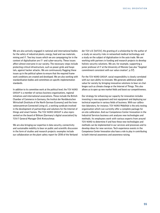We are also actively engaged in national and international bodies for the safety of industrial plants, energy, food and raw materials, mining and IT. Two key issues which we are campaigning for in the context of digitalisation are IT- and cyber-security. These issues affect almost everyone in our society. The necessary steps include protecting critical infrastructure, such as power grids and hospitals, against hacker attacks. We are continuously flagging these issues up in the political sphere to ensure that the required framework conditions are created and developed. We are also working with standardisation bodies and committees on specific implementation standards.

In addition to its committee work at the political level, the TÜV NORD GROUP is a member of various business organisations, regional initiatives and international associations. These include the British Chamber of Commerce in Germany, the Institut der Norddeutschen Wirtschaft (Institute of the North German Economy) and the Innovationszentrum Connected Living e.V., a working syndicate involved in the development of partnerships and solutions for the Internet of things and smart homes. The TÜV NORD GROUP is also represented on the board of Bitkom (Germany's digital association) by TÜViT General Manager Dirk Kretzschmar.

We are also bringing our expertise in data security, connectivity and sustainable mobility to bear on public and scientific discussion in the form of studies and research projects: examples include our collaboration on the plant safety report for 2018 of the Verband der TÜV e.V. (VdTÜV), the granting of a scholarship for the author of a study on security risks in networked medical technology and a study on the subject of digitalisation in the auto trade. We are working with partners in funding and research projects to develop holistic security solutions. We are, for example, supporting a junior professor of IT at the University of Münster (see also "Targeted commitment consistent with our value creation", p.57).

For the TÜV NORD GROUP, social responsibility is closely correlated with our own ability to innovate. We generate additional added value for society by bringing innovative solutions to bear on challenges such as climate change or the Internet of Things. This also allows us to open up new market fields and boost our competitiveness.

Our strategy for enhancing our capacity for innovation includes investing in new equipment and test equipment and deploying our technical expertise in various fields of business. With our calibration laboratory, for instance, TÜV NORD Mobilität is the only testing organisation which can currently offer a complete package for on-site calibration. And our Competence Center Innovation in the Industrial Services business unit analyses new technologies and methods. Its employees work with various experts from around TÜV NORD to determine if and how these new technologies and methods can be implemented in our services and processes and to develop ideas for new services. Tech experience events in the Competence Center Innovation also have a role to play in contributing to both internal awareness and awareness-raising.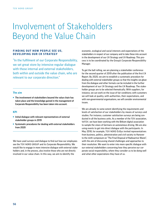# Involvement of Stakeholders Beyond the Value Chain

# **FINDING OUT HOW PEOPLE SEE US. DEVELOPING OUR CR STRATEGY**

"In the fulfilment of our Corporate Responsibility, we set great store by intensive regular dialogue with those internal and external stakeholders, both within and outside the value chain, who are relevant to our corporate direction."

# **The aim**

■ The involvement of stakeholders beyond the value chain has taken place and the knowledge gained in the management of Corporate Responsibility has been taken into account.

# **KPI**

- $\blacksquare$  Initial dialogue with relevant representatives of external stakeholder groups in 2019
- Systematic procedures for dealing with external stakeholders from 2020

We have used surveys and dialogue to find out how our employees see the TÜV NORD GROUP and its Corporate Responsibility. We would like to engage in more intensive dialogue with external stakeholders and, in the process, also involve those who are not directly involved in our value chain. In this way, we aim to identify the

economic, ecological and social interests and expectations of the stakeholders in respect of our company and to take these into account in the development of our CR Strategy and CR Roadmap. This process is to be coordinated by the Group's Corporate Responsibility Manager.

To get the ball rolling, we are planning a stakeholder conference for the second quarter of 2019 after the publication of the first CR Report. By 2020, we aim to establish a systematic procedure for dealing with external stakeholder groups so that the insights we glean from the dialogue and other formats can be included in the further development of our CR Strategy and the CR Roadmap. The stakeholder groups are to be selected thematically. With suppliers, for instance, we can work on the issue of fair conditions; with customers we will look at quality, with authorities, their expectations, and with non-governmental organisations, we will consider environmental issues.

We are already to some extent identifying the requirements and levels of satisfaction of our stakeholders by means of surveys and studies. For instance, customer satisfaction surveys are being conducted in all the business units. As a member of the TÜV association, VdTÜV, we have been working with the Bitkom digital association to sample the views of Germans on autonomous driving. We are also using events to get into direct dialogue with the participants. In May 2018, for example, TÜV NORD EnSys invited representatives from business, politics, administration and civil society to Hanover to the ninth symposium on "The Final Disposal of Radioactive Waste", with the aim of discussing shared challenges and approaches to their resolution. We want to enter into more specific dialogue with our external stakeholders concerning how they perceive our corporate social responsibility, where they consider us to be doing well and what other expectations they have of us.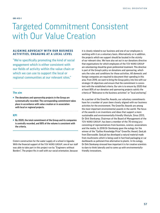**GRI 413-1**

# Targeted Commitment Consistent with Our Value Creation

# **ALIGNING ADVOCACY WITH OUR BUSINESS ACTIVITIES, ENGAGING AT A LOCAL LEVEL**

"We're specifically promoting the kind of social engagement which is either consistent with our fields of activity within the value chain or which we can use to support the local or regional communities at our relevant sites."

# **The aim**

■ The donations and sponsorship projects in the Group are systematically recorded. The corresponding commitment takes place in accordance with value creation or in association with local or regional projects.

# **KPI**

■ By 2020, the total commitment of the Group and its companies is centrally recorded, and 80% of the volume is consistent with the criteria.

Cistern construction for the water supply of a school in Uganda: With the financial support of the TÜV NORD GROUP, one of our staff was able to take part in this project run by "Engineers without Borders". The project fits in well with our social orientation, because

it is closely related to our business and one of our employees is working with it on a voluntary basis. Alternatively or in addition, the projects which we support should be located in the vicinity of our relevant sites. We have also set out in our donations directive that organisations for which employees of the TÜV NORD GROUP are volunteering should be given preferential treatment. This directive is part of the Group's policy on donations and sponsoring, which sets the rules and conditions for those activities. All domestic and foreign companies are required to document their spending in this area. From 2019, we want to bring the Group policy into line with our strategic CR objectives and ensure that the commitment is consistent with the established criteria. Our aim is to ensure by 2020 that at least 80% of our donation and sponsoring projects satisfy the criteria of "Relevance to the business activities" or "local anchoring".

As a partner of the GreenTec Awards, our voluntary commitments have for a number of years been closely aligned with our business activities for the environment. The GreenTec Awards are among the most important environmental awards in the world. The focus of the awards is on inventions and ideas that support a more sustainable and environmentally-friendly lifestyle. Since 2013, Dr Dirk Stenkamp, Chairman of the Board of Management of the TÜV NORD GROUP, has been a member of the 70-strong jury consisting of representatives from business, science, associations and the media. In 2018 Dr Stenkamp gave the eulogy for the winner of the "Galileo Knowledge Prize" GreenTec Award, GeoLab from Eberswalde. GeoLab has developed a natural material made from mushrooms which is being used in fast-food packaging or car dashboards as pollutant-free alternative to plastic. In his eulogy, Dr Dirk Stenkamp stressed how important it is for creative scientists to dare to think laterally and to come up with environmentallyfriendly innovations.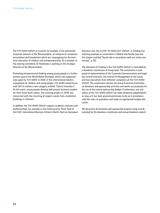The TÜV NORD GROUP is involved, for example, in the nationwide corporate network of the Wissensfabrik, an initiative of companies, associations and foundations which are campaigning for the technical education of children and entrepreneurship. As a member of the steering committee, Dr Stenkamp is working on the strategic direction of the Wissensfabrik.

Promoting entrepreneurial thinking among young people is a further primary goal of the World Robot Olympiad, which was supported once again by TÜV NORD in 2018. In this international robotics competition for children and young people, TÜV NORD joined forces with SAP to initiate a new category entitled "Future Innovators". At this event, young people develop and present business models for their home-built robots. The winning project in 2018 was concerned with the recycling of organic waste from residential buildings in Vietnam.

In addition, the TÜV NORD GROUP supports academic institutes and professorships, for example in the Cybersecurity Think Tank of the ESMT International Business School in Berlin. And our Aerospace business unit, the ALTER TECHNOLOGY GROUP, is funding two teaching positions at universities in Madrid and Seville (see also the chapter entitled "Social role in accordance with our vision and mission", p.55).

The allocation of funding in the TÜV NORD GROUP is controlled by a donations commission at Group level. The commission is composed of representatives of the Corporate Communications and Legal key central functions, the central CR Management of the Group and two executives from different companies of the TÜV NORD GROUP. The commission advises the Group Executive Committee on donations and sponsorship activities and works out proposals for the use of the central sponsorship budget. Furthermore, any subsidiary of the TÜV NORD GROUP can make donations independently as long as it has been granted permission to do so in accordance with the rules of procedure and made an appropriate budget allocation.

We document all donations and sponsorship projects using records compiled by the donations commission and annual donations reports.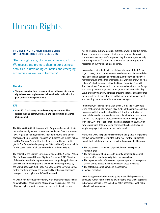# Human Rights

# **PROTECTING HUMAN RIGHTS AND IMPLEMENTING REQUIREMENTS**

"Human rights are, of course, a live issue for us. We respect and promote them in our business activities in developing countries and emerging economies, as well as in Germany."

# **The aim**

■ The processes for the assessment of and adherence to human rights have been implemented in line with the national action plan of the German government.

# **KPI**

■ As of 2020, risk analyses and resulting measures will be carried out on a continuous basis and the resulting measures implemented

The TÜV NORD GROUP is aware of its Corporate Responsibility to respect human rights. We take our cue in this area from the relevant laws, regulations and guidelines, such as the ILO's core labour standards, the UN Guiding Principles on Business and human rights, and the National Action Plan for Business and Human Rights (NAP). The Group's holding company (TÜV NORD AG) is responsible for the coordination of all activities related to human rights.

The cabinet of the German Government adopted the National Action Plan for Business and Human Rights in December 2016. The aim of the action plan is the implementation of the guiding principles on business and human rights that were unanimously approved by the United Nations in 2011. In the NAP, the German Government has for the first time anchored the responsibility of German companies to respect human rights in a defined framework.

As we are not a production company with extensive supply chains or high levels of consumption of resources, we consider the risks of human rights violations in our business activities to be low.

Nor do we carry out raw materials extraction work in conflict zones. There is, however, a residual risk of human rights violations in our business. We are therefore approaching this issue systematically and transparently. The aim is to ensure that human rights are respected in our value chain at all times.

In accordance with the fourth core labour standard of the ILO, we do, of course, afford our employees freedom of association and the right to collective bargaining, for example, in the form of employee representatives or the free organisation of workers known as "the network", which is supported by the Group Executive Committee. The clear aim of "the network" is to increase diversity in the Group and thereby to encourage innovation, growth and internationality. Ways of achieving this will include ensuring that each sex accounts for no less than 30 percent of the staff at every tier of management and boosting the number of international managers.

Additionally, in the implementation of the GDPR, the privacy regulation that entered into force in May 2018, all the employees in the Group are called upon to uphold the right to the protection of personal data and to process these data only with the active consent of users. The Group data protection officer monitors compliance with the GDPR and is consulted in all data protection issues. A uniform Group-wide data protection statement has been drafted in simple language that everyone can understand.

From 2019, we will expand our commitment and gradually implement the five core elements formulated in the NAP for the implementation of the legal duty of care in respect of human rights. These are:

- The creation of a statement of principles for the respect of human rights
- The development of a process to identify actual and potential adverse effects on human rights in the value chain
- The implementation of measures to prevent potentially negative effects and to assess the effectiveness of these measures
- The establishment of complaint mechanisms
- Regular reporting

In our foreign subsidiaries, we are going to establish processes to safeguard human rights which follow the same lines as our approach in Germany. We will at the same time act in accordance with regional and local requirements.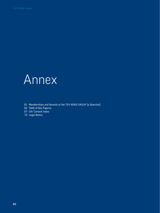# Annex

- [Memberships and Awards of the TÜV](#page-62-0) NORD GROUP (a Selection)
- [Table of Key Figures](#page-63-0)
- [GRI Content Index](#page-68-0)
- [Legal Notice](#page-74-0)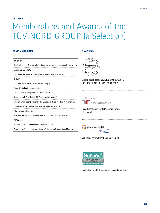<span id="page-62-0"></span>**GRI 102-13**

# Memberships and Awards of the TÜV NORD GROUP (a Selection)

# **MEMBERSHIPS**

# **AWARDS**

| Bitkom e.V.                                                                  |
|------------------------------------------------------------------------------|
| Bundesdeutscher Arbeitskreis für Umweltbewusstes Management (B.A.U.M.) e.V.  |
| Connected Living e.V.                                                        |
| Deutsches Netzwerk Wirtschaftsethik - EBEN Deutschland e.V.                  |
| DIN e.V.                                                                     |
| Deutsche Gesellschaft für Personalführung e.V.                               |
| Forum für Zukunftsenergien e.V.                                              |
| Leibniz Universitätsgesellschaft Hannover e.V.                               |
| Schmalenbach-Gesellschaft für Betriebswirtschaft e.V.                        |
| Studien- und Fördergesellschaft der Schleswig-Holsteinischen Wirtschaft e.V. |
| Tarifgemeinschaft Technischer Überwachungs-Vereine e.V.                      |
| TÜV Markenverhund e.V.                                                       |
| VDE Verband der Elektrotechnik Elektronik Informationstechnik e.V.           |
| VdTÜV e.V.                                                                   |
| Wissensfabrik Unternehmen für Deutschland e.V.                               |
| Zentrale zur Bekämpfung unlauteren Wettbewerbs Frankfurt am Main e.V.        |



ing certifications 2018: ISO 9001:2015, ISO 14001:2015, OHSAS 18001:2007



rtification in 2018 for entire Group (nany



Voluntary commitment signed in 2018



Evaluation in 2018 by employees and applicants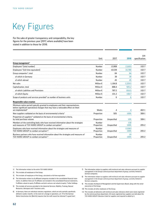# <span id="page-63-0"></span>Key Figures

For the sake of greater transparency and comparability, the key figures for the previous year (2017, where available) have been stated in addition to those for 2018.

|                                                                                                                                                                                                     | Unit                 | 2017        | 2018           | GRI<br>specification |
|-----------------------------------------------------------------------------------------------------------------------------------------------------------------------------------------------------|----------------------|-------------|----------------|----------------------|
| Group management <sup>1</sup>                                                                                                                                                                       |                      |             |                |                      |
| Employees <sup>2</sup> (total number)                                                                                                                                                               | Number               | 13,908      | 13,693         | 102-7                |
| Employees <sup>3</sup> (full time equivalent)                                                                                                                                                       | Number               | 10,539      | 10.780         | 102-7                |
| Group companies <sup>4</sup> , total                                                                                                                                                                | Number               | 84          | 84             | 102-7                |
| of which in Germany                                                                                                                                                                                 | Number               | 39          | 39             | 102-7                |
| of which abroad                                                                                                                                                                                     | Number               | 45          | 45             | 102-7                |
| Net sales                                                                                                                                                                                           | Million $\epsilon$   | 1.184.8     | 1.229.5        | $102 - 7$            |
| Capitalisation, total                                                                                                                                                                               | Million $\epsilon$   | 888.4       | 925.2          | 102-7                |
| of which Liabilities and Provisions                                                                                                                                                                 | Million $\epsilon$   | 787.2       | 816.5          | 102-7                |
| of which Equity                                                                                                                                                                                     | Million $\epsilon$   | 101.2       | 108.7          | $102 - 7$            |
| Scope of products and services provided <sup>5</sup> as number of business units                                                                                                                    | Number               | 6           | 6              | 102-7                |
| <b>Responsible value creation</b>                                                                                                                                                                   |                      |             |                |                      |
| Minimum notice period typically granted to employees and their representatives,<br>before significant operational changes that may have a noticeable effect on them<br>are implemented <sup>6</sup> | Weeks                | 4           | 4              | $402 - 1$            |
| New suppliers validated on the basis of environmental criteria <sup>7</sup>                                                                                                                         | Proportion           | 50%         | 100%           | $308-1$              |
| Proportion of suppliers <sup>8</sup> validated on the basis of environmental criteria,<br>by total purchase volume                                                                                  | Proportion           | Unspecified | 10%            | $308-1$              |
| Members of the controlling body who have received information about the strategies<br>and measures of TÜV NORD GROUP to combat corruption <sup>9</sup>                                              | Number<br>Proportion | Unspecified | 130<br>100%    | $205 - 2$            |
| Employees who have received information about the strategies and measures of<br>TÜV NORD GROUP to combat corruption <sup>10</sup>                                                                   | Number<br>Proportion | Unspecified | 13,563<br>100% | $205 - 2$            |
| Business partners who have received information about the strategies and measures of<br>TÜV NORD GROUP to combat corruption <sup>11</sup>                                                           | Number<br>Proportion | Unspecified | 10<br>100%     | $205 - 2$            |

1) The information relates to the entire TÜV NORD GROUP.

2) This includes all employees of the Group.

- 3) This includes all employees of the Group, calculated as full-time equivalent.
- 4) The information relates to all affiliated companies included in the consolidated financial statements. In addition there are 73 affiliates not included in the consolidated financial statements, 5 affiliates valued at equity, 9 affiliates and joint ventures not valued at equity, 7 other holdings.
- 5) This includes all services provided in the Industrial Services, Mobility, Training, Natural Resources, Aerospace and IT business units.
- 6) In Germany, there are individual statutory regulations, which are only partially specifically defined in weeks /months. In the event of a change in operations, art. 111 of the German Works Constitution Act (BetrVG) requires that the staff council be informed "in good time".
- 7) The information relates to suppliers with technical and sales relevance pursuant to supplier management in the Group's central purchase department of group, currently limited to German companies.
- 8) The information relates to suppliers with technical and sales relevance pursuant to supplier management in the Group's central purchase department of group, currently limited to German companies.
- 9) This includes the Board of Management and the Supervisory Board, along with the senior executives of the Group.
- 10) This includes all other employees of the Group.
- 11) This includes all deliveries with technical and sales relevance which were newly registered by the central purchase department. All newly registered key suppliers are told about the TÜV NORD GROUP's Business Code for suppliers and required to abide by it.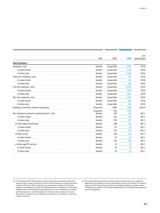|                                                                 | Unit                 | 2017        | 2018        | GRI<br>specification |
|-----------------------------------------------------------------|----------------------|-------------|-------------|----------------------|
| Staff orientation <sup>12</sup>                                 |                      |             |             |                      |
| Employees, total                                                | Number               | Unspecified | 6.801       | 102-8                |
| of whom female                                                  | Number               | Unspecified | 1,741       | 102-8                |
| of whom male                                                    | Number               | Unspecified | 5,060       | 102-8                |
| Fixed-term employees, total                                     | Number               | Unspecified | 314         | 102-8                |
| of whom female                                                  | Number               | Unspecified | 131         | 102-8                |
| of whom male                                                    | Number               | Unspecified | 183         | 102-8                |
| Full-time employees, total                                      | Number               | Unspecified | 6.044       | 102-8                |
| of whom female                                                  | Number               | Unspecified | 1.183       | 102-8                |
| of whom male                                                    | Number               | Unspecified | 4.861       | 102-8                |
| Part-time employees, total                                      | Number               | Unspecified | 1.071       | 102-8                |
| of whom female                                                  | Number               | Unspecified | 689         | 102-8                |
| of whom male                                                    | Number               | Unspecified | 382         | 102-8                |
| Employees covered by collective bargaining                      | Proportion           | 100%        | 100%        | 102-41               |
| New employees during the reporting period <sup>13</sup> , total | Proportion<br>Number | 7,0%<br>475 | 8,8%<br>619 | $401 - 1$            |
| of whom female                                                  | Number               | 142         | 185         | $401 - 1$            |
| of whom male                                                    | Number               | 333         | 434         | $401 - 1$            |
| of whom aged 30 and below                                       | Number               | 198         | 215         | $401 - 1$            |
| of whom female                                                  | Number               | 53          | 68          | $401 - 1$            |
| of whom male                                                    | Number               | 145         | 147         | $401 - 1$            |
| of whom 31-50                                                   | Number               | 236         | 334         | $401 - 1$            |
| of whom female                                                  | Number               | 73          | 95          | $401 - 1$            |
| of whom male                                                    | Number               | 163         | 239         | $401 - 1$            |
| of whom aged 51 and over                                        | Number               | 41          | 70          | $401 - 1$            |
| of whom female                                                  | Number               | 16          | 22          | $401 - 1$            |
| of whom male                                                    | Number               | 25          | 48          | $401 - 1$            |

<sup>12)</sup> The information under "Staff orientation" relates, unless otherwise explicitly stated, to the permanent staff in region 1 (Germany) of the SAP-HR led companies, according to workforce statistics of December 2018, including the non-consolidated companies. Of the German companies, the following are omitted: TÜV NORD Bildung and its subsidiaries, TÜV Thüringen Anlagentechnik and TÜV Thüringen Fahrzeugtechnik. In the case of companies with German and international sites, only the employees at the German sites are taken into account. The number of employees, unless explicitly shown otherwise, is specified as a head count (number of persons).

<sup>13)</sup> This includes: Newly appointed and rejoined permanent staff presented as a headcount. Appointments and takeovers of trainees and temporary staff are not included. The evaluation applies to SAP-HR led companies, including non-consolidated companies, excluding, however, TN Bildung and its affiliates, TÜV Thüringen Anlagentechnik, TÜV Thüringen Fahrzeugtechnik and Dr. Ing. Wesemann.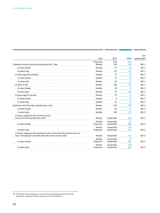|                                                                                                                                                 | Unit       | 2017        | 2018 | GRI<br>specification |
|-------------------------------------------------------------------------------------------------------------------------------------------------|------------|-------------|------|----------------------|
|                                                                                                                                                 | Proportion | 2.5%        | 3.2% |                      |
| Employee turnover during the reporting period <sup>14</sup> , total                                                                             | Number     | 169         | 226  | $401 - 1$            |
| of whom female                                                                                                                                  | Number     | 57          | 54   | $401 - 1$            |
| of whom male                                                                                                                                    | Number     | 112         | 172  | $401 - 1$            |
| of whom aged 30 and below                                                                                                                       | Number     | 37          | 38   | $401 - 1$            |
| of whom female                                                                                                                                  | Number     | 13          | 14   | $401 - 1$            |
| of whom male                                                                                                                                    | Number     | 24          | 24   | $401 - 1$            |
| of whom 31-50                                                                                                                                   | Number     | 105         | 157  | $401 - 1$            |
| of whom female                                                                                                                                  | Number     | 38          | 32   | $401 - 1$            |
| of whom male                                                                                                                                    | Number     | 67          | 125  | $401 - 1$            |
| of whom aged 51 and over                                                                                                                        | Number     | 27          | 31   | $401 - 1$            |
| of whom female                                                                                                                                  | Number     | 6           | 8    | $401 - 1$            |
| of whom male                                                                                                                                    | Number     | 21          | 23   | $401 - 1$            |
| Employees who have taken parental leave, total                                                                                                  | Number     | 224         | 226  | $401 - 3$            |
| of whom female                                                                                                                                  | Number     | 64          | 47   | $401 - 3$            |
| of whom male                                                                                                                                    | Number     | 160         | 179  | $401 - 3$            |
| of whom, employees who returned to work<br>at the end of the parental leave, total                                                              | Number     | Unspecified | 220  | $401 - 3$            |
|                                                                                                                                                 | Number     | Unspecified | 46   |                      |
| of whom female                                                                                                                                  | Proportion | Unspecified | 98%  | $401 - 3$            |
|                                                                                                                                                 | Number     | Unspecified | 174  |                      |
| of whom male                                                                                                                                    | Proportion | Unspecified | 97%  | $401 - 3$            |
| of whom, employees who returned to work at the end of the parental leave and<br>were still employed 12 months after their return to work, total | Number     | Unspecified | 194  | $401 - 3$            |
|                                                                                                                                                 | Number     | Unspecified | 40   |                      |
| of whom female                                                                                                                                  | Proportion | Unspecified | 85%  | $401 - 3$            |
|                                                                                                                                                 | Number     | Unspecified | 154  |                      |
| of whom male                                                                                                                                    | Proportion | Unspecified | 86%  | $401 - 3$            |

14) This includes external departures /turnover (voluntary resignations) of permanent staff presented as a headcount. Scope of evaluation as for "New employees…".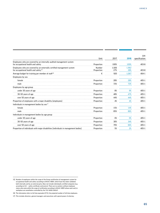|                                                                                                                            | Unit                 | 2017         | 2018         | GRI<br>specification |
|----------------------------------------------------------------------------------------------------------------------------|----------------------|--------------|--------------|----------------------|
| Employees who are covered by an internally audited management system                                                       |                      |              |              |                      |
| for occupational health and safety                                                                                         | Proportion           | 100%         | 100%         | 403-8                |
| Employees who are covered by an externally certified management system<br>for occupational health and safety <sup>15</sup> | Number<br>Proportion | 1,926<br>27% | 1,962<br>28% | $403 - 8$            |
| Average budget for training per member of staff <sup>16</sup>                                                              | €                    | 920          | 1,067        | 404-1                |
| Employees by sex                                                                                                           |                      |              |              |                      |
| female                                                                                                                     | Proportion           | 28%          | 28%          | $405 - 1$            |
| male                                                                                                                       | Proportion           | 72%          | 72%          | 405-1                |
| Employees by age group                                                                                                     |                      |              |              |                      |
| under 30 years of age                                                                                                      | Proportion           | 8%           | 9%           | 405-1                |
| 30-50 years of age                                                                                                         | Proportion           | 48%          | 47%          | $405 - 1$            |
| over 50 years of age                                                                                                       | Proportion           | 44%          | 44%          | 405-1                |
| Proportion of employees with a major disability (employees)                                                                | Proportion           | 4%           | 4%           | $405 - 1$            |
| Individuals in management bodies by sex <sup>17</sup>                                                                      |                      |              |              |                      |
| female                                                                                                                     | Proportion           | 15%          | 14%          | 405-1                |
| male                                                                                                                       | Proportion           | 85%          | 86%          | 405-1                |
| Individuals in management bodies by age group                                                                              |                      |              |              |                      |
| under 30 years of age                                                                                                      | Proportion           | 0%           | 0%           | 405-1                |
| 30-50 years of age                                                                                                         | Proportion           | 30%          | 34%          | 405-1                |

over 50 years of age **Proportion** 66% 66% 405-1 Proportion of individuals with major disabilities (individuals in management bodies) **Proportion** 5% 5% 2% 405-1

<sup>15)</sup> Number of employees within the scope of the Group certification of management system for occupational health and safety according to OHSAS 14001, which have thus been validated both internally and by an external party. Does not include individually certified companies (e.g. according to SCC – safety certificate contractors). There are no workers without employee status who come within the scope of certification according to OHSAS 14001 whose work and/ or workplace are nonetheless controlled by the TÜV NORD GROUP.

<sup>16)</sup> The information refers to full time equivalent (FTE), the projected number of full-time employees.

<sup>17)</sup> This includes directors, general managers and executives with special power of attorney.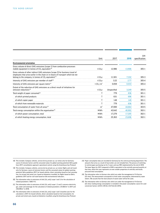|                                                                                                                                                                                                                                        | Unit                  | 2017        | 2018   | GRI<br>specification |
|----------------------------------------------------------------------------------------------------------------------------------------------------------------------------------------------------------------------------------------|-----------------------|-------------|--------|----------------------|
| <b>Environmental orientation</b>                                                                                                                                                                                                       |                       |             |        |                      |
| Gross volume of direct GHG emissions (scope 1) from combustion processes<br>mobile equipment in tonnes of CO <sub>2</sub> equivalent <sup>18</sup>                                                                                     | t CO <sub>2</sub> e   | 12,986      | 13,906 | $305 - 1$            |
| Gross volume of other indirect GHG emissions (scope 3) for business travel of<br>employees that arise earlier in the chain or in means of transport which do not<br>belong to the company, in tonnes of $CO2$ equivalent <sup>19</sup> | t $CO2$ e             | 11,501      | 7.332  | $305-3$              |
| Intensity of GHG emissions per member of staff <sup>20</sup>                                                                                                                                                                           | t CO <sub>2</sub> e   | 3.22        | 2.77   | $305 - 4$            |
| Intensity of GHG emissions per square metre <sup>21</sup>                                                                                                                                                                              | t $CO2/m2$            | 0.059       | 0.033  | $305 - 4$            |
| Extent of the reduction of GHG emissions as a direct result of initiatives for<br>emission reductions <sup>22</sup>                                                                                                                    | $t$ CO <sub>2</sub> e | Unspecified | 3,249  | $305 - 5$            |
| Total weight of paper consumed <sup>23</sup>                                                                                                                                                                                           |                       | 779         | 836    | $301 - 1$            |
| of which printed products                                                                                                                                                                                                              |                       | 631         | 696    | $301 - 1$            |
| of which copier paper                                                                                                                                                                                                                  |                       | 148         | 140    | $301 - 1$            |
| of which from renewable materials                                                                                                                                                                                                      |                       | 779         | 836    | $301 - 1$            |
| Total consumption of water from all areas <sup>24</sup>                                                                                                                                                                                | $m^3$                 | 47,000      | 44,664 | $303 - 5$            |
| Total energy consumption within the organisation <sup>25</sup>                                                                                                                                                                         | MWh                   | 42.642      | 40,902 | $302 - 1$            |
| of which power consumption, total                                                                                                                                                                                                      | MWh                   | 17,279      | 17,205 | $302 - 1$            |
| of which heating energy consumption, total                                                                                                                                                                                             | MWh                   | 25,363      | 23,696 | $302 - 1$            |

18) This includes: Company vehicles, service km by private car, car rental; only for Germany: source of emission factors and the consumed values for global warming potential: Defra guidelines 2017; consolidation approach: operational control; using the Greenhouse Gas Protocol.

19) This includes: Company vehicles, service km by private car, car rental, flights and rail travel; only for Germany: source of emission factors and the consumed values for global warming potential: Defra guidelines 2017; for leased vehicles, direct calculation based on fuel consumption, for private and rental cars, based on kilometres travelled, for flights based on Defra guidelines 2017 and for rail travel based on DB environmental indicators.

- 20) The information refers to emissions of GHG (CO<sub>2</sub> only) scope 1 and 3; for the calculation of related parameters: 7,665 FTE.
- 21) The information refers to emissions of GHG (CO<sub>2</sub> only) scope 1, 2 and 3; concerns electricity, gas, water and sewerage; for the calculation of related parameters: 231,863 m<sup>2</sup> in 2017 und 230,096m² in 2018.
- 22) The information refers to emissions of GHG (CO<sub>2</sub> only) scope 1 and 3; baseline year for the calculation is 2017; for leased vehicles, direct calculation based on fuel consumption, for private and rental cares, based on kilometres travelled; using the Greenhouse Gas Protocol.
- 23) Paper consumption data are recorded (in Germany) by the central purchasing department. The amounts that arise as a result of local orders are not included here. The process of switching to central paper purchasing ran for 3 years and was 99% implemented by the end of 2019. The lower figure for 2017 compared to 2018 is equivalent to the centrally procured quantity at that time, which this year represents an even smaller proportion of centrally and locally procured total consumption.
- 24) The information refers to German sites which are under the management of TN Service (22 sites). The measurement corresponds to fresh water consumption, determined by water meters. We assume that the total amount of waste water will be the same
- 25) The information refers to German sites which are under the management of TN Service (22 sites). Cooling energy consumption is included in the power consumption; source for used conversion factors: GEMIS 4.95 (EL-KW-Park-DE-2015).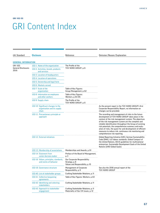<span id="page-68-0"></span>**GRI 102-55**

# GRI Content Index

| GRI Standard                       | <b>Disclosure</b>                                                         | Reference                                                                         | Omission/Reason/Explanation                                                                                                                                                                                                                                                                                                                                                                                                                                                                           |
|------------------------------------|---------------------------------------------------------------------------|-----------------------------------------------------------------------------------|-------------------------------------------------------------------------------------------------------------------------------------------------------------------------------------------------------------------------------------------------------------------------------------------------------------------------------------------------------------------------------------------------------------------------------------------------------------------------------------------------------|
|                                    |                                                                           |                                                                                   |                                                                                                                                                                                                                                                                                                                                                                                                                                                                                                       |
| <b>GENERAL INFORMATION</b>         |                                                                           |                                                                                   |                                                                                                                                                                                                                                                                                                                                                                                                                                                                                                       |
| GRI 102:                           | 102-1 Name of the organization                                            | The Profile of the                                                                |                                                                                                                                                                                                                                                                                                                                                                                                                                                                                                       |
| <b>General Disclosures</b><br>2016 | 102-2 Activities, brands, products<br>and services                        | TÜV NORD GROUP, p.6                                                               |                                                                                                                                                                                                                                                                                                                                                                                                                                                                                                       |
|                                    | 102-3 Location of headquarters                                            |                                                                                   |                                                                                                                                                                                                                                                                                                                                                                                                                                                                                                       |
|                                    | 102-4 Location of operations                                              |                                                                                   |                                                                                                                                                                                                                                                                                                                                                                                                                                                                                                       |
|                                    | 102-5 Ownership and legal form                                            |                                                                                   |                                                                                                                                                                                                                                                                                                                                                                                                                                                                                                       |
|                                    | 102-6 Markets served                                                      |                                                                                   |                                                                                                                                                                                                                                                                                                                                                                                                                                                                                                       |
|                                    | 102-7 Scale of the<br>organization                                        | Table of Key Figures:<br>Group Management, p. 62                                  |                                                                                                                                                                                                                                                                                                                                                                                                                                                                                                       |
|                                    | 102-8 Information on employees<br>and other workers                       | Table of Key Figures:<br>Workers, p. 63-65                                        |                                                                                                                                                                                                                                                                                                                                                                                                                                                                                                       |
|                                    | 102-9 Supply chain                                                        | The Profile of the<br>TÜV NORD GROUP, p. 6                                        |                                                                                                                                                                                                                                                                                                                                                                                                                                                                                                       |
|                                    | 102-10 Significant changes to the<br>organisation and its supply<br>chain |                                                                                   | As the present report is the TÜV NORD GROUP's first<br>Corporate Responsibility Report, no information on<br>changes can be provided.                                                                                                                                                                                                                                                                                                                                                                 |
|                                    | 102-11 Precautionary principle or<br>approach                             |                                                                                   | The recording and management of risks to the future<br>development of TÜV NORD GROUP takes place in the<br>context of the risk management system. The objectives<br>of the risk management system are the complete and<br>reliable identification throughout the Group of existing<br>risk potentials, the comprehensive summary and evalu-<br>ation of risks, the quest for and development of efficient<br>measures to reduce risk, continuous risk monitoring and<br>comprehensive risk reporting. |
|                                    | 102-12 External initiatives                                               |                                                                                   | Global Reporting Initiative (GRI), German Sustainability<br>Code (DNK), ILO labour standards, Global Compact of<br>the United Nations, OECD guidelines for multinational<br>enterprises, Sustainable Development Goals of the United<br>Nations (UNO Global Goals)                                                                                                                                                                                                                                    |
|                                    | 102-13 Membership of associations                                         | Memberships and Awards, p. 61                                                     |                                                                                                                                                                                                                                                                                                                                                                                                                                                                                                       |
|                                    | 102-14 Statement from<br>senior decision-maker                            | Preface of the Board of Management,<br>p.3                                        |                                                                                                                                                                                                                                                                                                                                                                                                                                                                                                       |
|                                    | 102-16 Values, principles, standards,<br>and norms of behavior            | Our Corporate Responsibility<br>Strategy, p.8<br>Values and Responsibility, p. 10 |                                                                                                                                                                                                                                                                                                                                                                                                                                                                                                       |
|                                    | 102-18 Governance structure                                               | Management of Corporate<br>Responsibility, p. 9                                   | See also the 2018 annual report of the<br>TÜV NORD GROUP                                                                                                                                                                                                                                                                                                                                                                                                                                              |
|                                    | 102-40 List of stakeholder groups                                         | Crafting Stakeholder Relations, p. 11                                             |                                                                                                                                                                                                                                                                                                                                                                                                                                                                                                       |
|                                    | 102-41 Collective bargaining<br>agreements                                | Table of Key Figures: Workers, p.63                                               |                                                                                                                                                                                                                                                                                                                                                                                                                                                                                                       |
|                                    | 102-42 Identifying and selecting<br>stakeholders                          | Crafting Stakeholder Relations, p. 11                                             |                                                                                                                                                                                                                                                                                                                                                                                                                                                                                                       |
|                                    | 102-43 Approach to stakeholder<br>engagement                              | Crafting Stakeholder Relations, p. 11<br>Materiality of Our CR Issues, p. 12      |                                                                                                                                                                                                                                                                                                                                                                                                                                                                                                       |
|                                    |                                                                           |                                                                                   |                                                                                                                                                                                                                                                                                                                                                                                                                                                                                                       |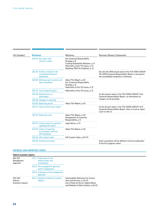| <b>GRI Standard</b> | <b>Disclosure</b> |                                                                              | Reference                                                                                                                                                         | Omission/Reason/Explanation                                                                                                                                |
|---------------------|-------------------|------------------------------------------------------------------------------|-------------------------------------------------------------------------------------------------------------------------------------------------------------------|------------------------------------------------------------------------------------------------------------------------------------------------------------|
|                     |                   | 102-44 Key topics and<br>concerns raised                                     | Our Corporate Responsibility<br>Strategy, p.8<br>Crafting Stakeholder Relations, p. 11<br>Materiality of Our CR Issues, p. 12<br>Roadmap 2020 for Guidance, p. 13 |                                                                                                                                                            |
|                     |                   | 102-45 Entities included in the<br>consolidated financial<br>statements      |                                                                                                                                                                   | See also the 2018 annual report of the TÜV NORD GROUP.<br>The 2018 Corporate Responsibility Report is focused on<br>the consolidated companies in Germany. |
|                     |                   | 102-46 Defining report content and<br>topic boundaries                       | About This Report, p. U2<br>Our Corporate Responsibility<br>Strategy, p.8<br>Materiality of Our CR Issues, p. 12                                                  |                                                                                                                                                            |
|                     |                   | 102-47 List of material topics                                               | Materiality of Our CR Issues, p. 12                                                                                                                               |                                                                                                                                                            |
|                     |                   | 102-48 Restatements of<br>information                                        |                                                                                                                                                                   | As the present report is the TÜV NORD GROUP's first<br>Corporate Responsibility Report, no information on                                                  |
|                     |                   | 102-49 Changes in reporting                                                  |                                                                                                                                                                   | changes can be provided.                                                                                                                                   |
|                     |                   | 102-50 Reporting period                                                      | About This Report, p. U2                                                                                                                                          |                                                                                                                                                            |
|                     |                   | 102-51 Date of most recent report                                            |                                                                                                                                                                   | As the present report is the TÜV NORD GROUP's first<br>Corporate Responsibility Report, there is no prior report<br>cycle to refer to                      |
|                     |                   | 102-52 Reporting cycle                                                       | About This Report, p. U2<br><b>Management of Corporate</b><br>Responsibility, p. 9                                                                                |                                                                                                                                                            |
|                     |                   | 102-53 Contact point for questions<br>regarding the report                   | Legal Notice, p.73                                                                                                                                                |                                                                                                                                                            |
|                     |                   | 102-54 Claims of reporting<br>in accordance with the<br><b>GRI Standards</b> | About This Report, p. U2                                                                                                                                          |                                                                                                                                                            |
|                     |                   | 102-55 GRI content index                                                     | GRI Content Index, p. 67-72                                                                                                                                       |                                                                                                                                                            |
|                     |                   | 102-56 External assurance                                                    |                                                                                                                                                                   | Such a procedure will be defined in time for publication<br>of the first progress report.                                                                  |

# **MATERIAL AND IMPORTANT ISSUES**

## **Indirect economic impacts**

| GRI 103:<br>Management<br>Approach       | 103-1 Explanation of the<br>material topic and<br>its boundary |                                                                                                                                                           |
|------------------------------------------|----------------------------------------------------------------|-----------------------------------------------------------------------------------------------------------------------------------------------------------|
|                                          | 103-2 The management approach<br>and its components            |                                                                                                                                                           |
|                                          | 103-3 Evaluation of the management<br>approach                 |                                                                                                                                                           |
| GRI 203:<br>Indirect<br>Economic Impacts | 203-2 Significant indirect economic<br><i>impacts</i>          | Sustainability Relevance for Innova-<br>tions and Services, p. 22-23<br>Use of State-of-the-art, Digital Means<br>and Methods of Value Creation, p. 24-25 |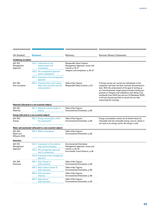| <b>GRI Standard</b>                     | <b>Disclosure</b>                                                                    | Reference                                                                           | Omission/Reason/Explanation                                                                                                                                                                                                                                                                                                                                                                                                         |
|-----------------------------------------|--------------------------------------------------------------------------------------|-------------------------------------------------------------------------------------|-------------------------------------------------------------------------------------------------------------------------------------------------------------------------------------------------------------------------------------------------------------------------------------------------------------------------------------------------------------------------------------------------------------------------------------|
| <b>Combating corruption</b>             |                                                                                      |                                                                                     |                                                                                                                                                                                                                                                                                                                                                                                                                                     |
| GRI 103:<br>Management<br>Approach      | 103-1 Explanation of the<br>material topic and<br>its boundary                       | Responsible Value Creation:<br>Management Approach, Issues and<br>Control, p. 16-17 |                                                                                                                                                                                                                                                                                                                                                                                                                                     |
|                                         | 103-2 The management approach<br>and its components                                  | Integrity and Compliance, p. 26-27                                                  |                                                                                                                                                                                                                                                                                                                                                                                                                                     |
|                                         | 103-3 Evaluation of the management<br>approach                                       |                                                                                     |                                                                                                                                                                                                                                                                                                                                                                                                                                     |
| GRI 205:<br>Anti-corruption             | 205-2 Communication and training<br>about anti-corruption policies<br>and procedures | Table of Key Figures:<br>Responsible Value Creation, p. 62                          | Training courses are carried out individually in the<br>companies and have not been centrally documented to<br>date. With the achievement of the goal of setting up<br>an e-learning-based, target-group-oriented training pro-<br>gramme on integrity and compliance and rolling it out<br>worldwide from 2020 (see also our CR Roadmap 2020).<br>it will also become possible to record the key data<br>concerning the trainings. |
|                                         | Materials (allocated to a non-essential subject)                                     |                                                                                     |                                                                                                                                                                                                                                                                                                                                                                                                                                     |
| GRI 301:<br>Materials                   | 301-1 Materials used by weight or<br>volume                                          | Table of Key Figures:<br>Environmental Orientation, p. 66                           |                                                                                                                                                                                                                                                                                                                                                                                                                                     |
|                                         | Energy (allocated to a non-essential subject)                                        |                                                                                     |                                                                                                                                                                                                                                                                                                                                                                                                                                     |
| GRI 302:<br>Energy                      | 302-1 Energy consumption within<br>the organisation                                  | Table of Key Figures:<br>Environmental Orientation, p. 66                           | Energy consumption cannot yet be broken down by<br>renewable and non-renewable energy sources. Steam is<br>not used as an energy carrier. No energy is sold.                                                                                                                                                                                                                                                                        |
|                                         | Water and wastewater (allocated to a non-essential subject)                          |                                                                                     |                                                                                                                                                                                                                                                                                                                                                                                                                                     |
| GRI 303:<br>Water and<br>Effluents 2018 | 303-5 Water consumption                                                              | Table of Key Figures:<br>Environmental Orientation, p. 66                           |                                                                                                                                                                                                                                                                                                                                                                                                                                     |
| <b>Emissions</b>                        |                                                                                      |                                                                                     |                                                                                                                                                                                                                                                                                                                                                                                                                                     |
| GRI 103:<br>Management                  | 103-1 Explanation of the material<br>topic and its boundary                          | <b>Environmental Orientation:</b><br>Management Approach, Issues and                |                                                                                                                                                                                                                                                                                                                                                                                                                                     |
| Approach                                | 103-2 The management approach<br>and its components                                  | Control, p. 44-45<br>Eco-friendly Travel Patterns, p. 46                            |                                                                                                                                                                                                                                                                                                                                                                                                                                     |
|                                         | 103-3 Evaluation of the management<br>approach                                       |                                                                                     |                                                                                                                                                                                                                                                                                                                                                                                                                                     |
| GRI 305:<br>Emissions                   | 305-1 Direct (Scope 1)<br><b>GHG</b> emissions                                       | Table of Key Figures:<br>Environmental Orientation, p. 66                           |                                                                                                                                                                                                                                                                                                                                                                                                                                     |
|                                         | 305-3 Other indirect (Scope 3)<br><b>GHG</b> emissions                               | Table of Key Figures:<br>Environmental Orientation, p. 66                           |                                                                                                                                                                                                                                                                                                                                                                                                                                     |
|                                         | 305-4 GHG emissions<br>intensity                                                     | Table of Key Figures:<br>Environmental Orientation, p. 66                           |                                                                                                                                                                                                                                                                                                                                                                                                                                     |
|                                         | 305-5 Reduction of<br><b>GHG</b> emissions                                           | Table of Key Figures:<br>Environmental Orientation, p. 66                           |                                                                                                                                                                                                                                                                                                                                                                                                                                     |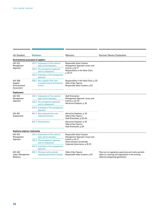| ------------                                 | ____________        |  |  |  |  |
|----------------------------------------------|---------------------|--|--|--|--|
| <b>Environmental assessment of suppliers</b> |                     |  |  |  |  |
| GRI 103.                                     | 103-1 Evolanation o |  |  |  |  |

GRI Standard **Disclosure Disclet Contract Contract Contract Contract Contract Contract Contract Contract Contract Contract Contract Contract Contract Contract Contract Contract Contract Contract Contract Contract Contrac** 

| GRI 103:<br>Management<br>Approach                  | 103-1 Explanation of the material<br>topic and its boundary               | Responsible Value Creation:<br>Management Approach, Issues and<br>Control, p. 16-17<br>Responsibility in the Value Chain,<br>$p.20-21$               |                                                                                                                                                      |
|-----------------------------------------------------|---------------------------------------------------------------------------|------------------------------------------------------------------------------------------------------------------------------------------------------|------------------------------------------------------------------------------------------------------------------------------------------------------|
|                                                     | 103-2 The management approach<br>and its components                       |                                                                                                                                                      |                                                                                                                                                      |
|                                                     | 103-3 Evaluation of the management<br>approach                            |                                                                                                                                                      |                                                                                                                                                      |
| GRI 308:<br>Supplier<br>Environmental<br>Assessment | 308-1 New suppliers that were<br>screened using environmental<br>criteria | Responsibility in the Value Chain, p. 20<br>Table of Key Figures:<br>Responsible Value Creation, p. 62                                               |                                                                                                                                                      |
| <b>Employment</b>                                   |                                                                           |                                                                                                                                                      |                                                                                                                                                      |
| GRI 103:<br>Management<br>Approach                  | 103-1 Explanation of the material<br>topic and its boundary               | <b>Staff Orientation:</b><br>Management Approach, Issues and<br>Control, p. 32-33<br>Attractive Employer, p. 34                                      |                                                                                                                                                      |
|                                                     | 103-2 The management approach<br>and its components                       |                                                                                                                                                      |                                                                                                                                                      |
|                                                     | 103-3 Evaluation of the management<br>approach                            |                                                                                                                                                      |                                                                                                                                                      |
| GRI 401:<br>Employment                              | 401-1 New employee hires and<br>employee turnover                         | Attractive Employer, p. 34<br>Table of Key Figures:<br>Staff Orientation, p.63-64                                                                    |                                                                                                                                                      |
|                                                     | 401-3 Parental leave                                                      | Attractive Employer, p. 34<br>Table of Key Figures:<br>Staff Orientation, p. 64                                                                      |                                                                                                                                                      |
| <b>Employee-employer relationship</b>               |                                                                           |                                                                                                                                                      |                                                                                                                                                      |
| GRI 103:<br>Management<br>Approach                  | 103-1 Explanation of the material<br>topic and its boundary               | Responsible Value Creation:<br>Management Approach, Issues and<br>Control, p. 16-17<br>Value-oriented. Sustainable<br>Corporate Governance, p. 18-19 |                                                                                                                                                      |
|                                                     | 103-2 The management approach<br>and its components                       |                                                                                                                                                      |                                                                                                                                                      |
|                                                     | 103-3 Evaluation of the management<br>approach                            |                                                                                                                                                      |                                                                                                                                                      |
| GRI 402:<br>Labor/Management<br><b>Relations</b>    | 402-1 Minimum notice periods<br>regarding operational changes             | Table of Key Figures:<br>Responsible Value Creation, p. 62                                                                                           | There are no regulations governing such notice periods,<br>rights to a hearing and negotiations in the existing<br>collective bargaining agreements. |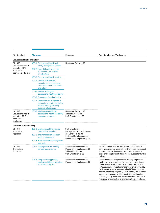| <b>GRI Standard</b>                                                                        | <b>Disclosure</b> |                                                                                                                              | Reference                                                                                                                                        | Omission/Reason/Explanation                                                                                                                                                                                                                                                                                                                                                                                                                                                                                                  |
|--------------------------------------------------------------------------------------------|-------------------|------------------------------------------------------------------------------------------------------------------------------|--------------------------------------------------------------------------------------------------------------------------------------------------|------------------------------------------------------------------------------------------------------------------------------------------------------------------------------------------------------------------------------------------------------------------------------------------------------------------------------------------------------------------------------------------------------------------------------------------------------------------------------------------------------------------------------|
| <b>Occupational health and safety</b>                                                      |                   |                                                                                                                              |                                                                                                                                                  |                                                                                                                                                                                                                                                                                                                                                                                                                                                                                                                              |
| GRI 403:<br>Occupational health<br>and safety 2018 -<br>Management<br>approach disclosures |                   | 403-1 Occupational health and<br>safety management system                                                                    | Health and Safety, p. 35                                                                                                                         |                                                                                                                                                                                                                                                                                                                                                                                                                                                                                                                              |
|                                                                                            |                   | 403-2 Hazard identification, risk<br>assessment, and incident<br>investigation                                               |                                                                                                                                                  |                                                                                                                                                                                                                                                                                                                                                                                                                                                                                                                              |
|                                                                                            |                   | 403-3 Occupational health services                                                                                           |                                                                                                                                                  |                                                                                                                                                                                                                                                                                                                                                                                                                                                                                                                              |
|                                                                                            |                   | 403-4 Worker participation,<br>consultation, and communi-<br>cation on occupational health<br>and safety                     |                                                                                                                                                  |                                                                                                                                                                                                                                                                                                                                                                                                                                                                                                                              |
|                                                                                            |                   | 403-5 Worker training on<br>occupational health and safety                                                                   |                                                                                                                                                  |                                                                                                                                                                                                                                                                                                                                                                                                                                                                                                                              |
|                                                                                            |                   | 403-6 Promotion of worker health                                                                                             |                                                                                                                                                  |                                                                                                                                                                                                                                                                                                                                                                                                                                                                                                                              |
|                                                                                            |                   | 403-7 Prevention and mitigation of<br>occupational health and safety<br>impacts directly linked by<br>business relationships |                                                                                                                                                  |                                                                                                                                                                                                                                                                                                                                                                                                                                                                                                                              |
| GRI 403:<br>Occupational health<br>and safety 2018 -<br>Topic-specific<br>disclosures      |                   | 403-8 Workers covered by an<br>occupational health and safety<br>management system                                           | Health and Safety, p. 35<br>Table of Key Figures:<br>Staff Orientation, p.65                                                                     |                                                                                                                                                                                                                                                                                                                                                                                                                                                                                                                              |
| Initial and further training                                                               |                   |                                                                                                                              |                                                                                                                                                  |                                                                                                                                                                                                                                                                                                                                                                                                                                                                                                                              |
| GRI 103:<br>Management<br>Approach                                                         |                   | 103-1 Explanation of the material<br>topic and its boundary                                                                  | <b>Staff Orientation:</b><br>Management Approach, Issues<br>and Control, p. 32-33<br>Individual Development and<br>Promotion of Employees, p. 38 |                                                                                                                                                                                                                                                                                                                                                                                                                                                                                                                              |
|                                                                                            |                   | 103-2 The management approach<br>and its components                                                                          |                                                                                                                                                  |                                                                                                                                                                                                                                                                                                                                                                                                                                                                                                                              |
|                                                                                            |                   | 103-3 Evaluation of the management<br>approach                                                                               |                                                                                                                                                  |                                                                                                                                                                                                                                                                                                                                                                                                                                                                                                                              |
| GRI 404:<br>Training and<br>Education                                                      |                   | 404-1 Average hours of training<br>per year per employee                                                                     | Individual Development and<br>Promotion of Employees, p. 38<br>Table of Key Figures:<br>Staff Orientation, p.65                                  | As it is our view that the information relates more to<br>perceived employer responsibility than times, the budget<br>is stated here. No distinctions are made between the<br>sexes or by employment status for the budget for further<br>training.                                                                                                                                                                                                                                                                          |
|                                                                                            |                   | 404-2 Programs for upgrading<br>employee skills and transition<br>assistance programs                                        | Individual Development and<br>Promotion of Employees, p. 38                                                                                      | In addition to our comprehensive training programme,<br>the following programmes for (next-generation) exec-<br>utives were carried out in 2018: Orientation Centre<br>(57 participants), middle management programme (30<br>participants), the management school (31 participants)<br>and the mentoring program (11 participants). Transitional<br>support programmes which promote the continuation<br>of employability and career advancement on the basis of<br>retirement or termination of employment are not offered. |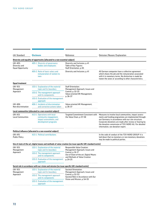| <b>GRI Standard</b>                            | <b>Disclosure</b> |                                                                                                         | Reference                                                                                                                                                                  | Omission/Reason/Explanation                                                                                                                                                                                                                                                                                                  |
|------------------------------------------------|-------------------|---------------------------------------------------------------------------------------------------------|----------------------------------------------------------------------------------------------------------------------------------------------------------------------------|------------------------------------------------------------------------------------------------------------------------------------------------------------------------------------------------------------------------------------------------------------------------------------------------------------------------------|
|                                                |                   | Diversity and equality of opportunity (allocated to a non-essential subject)                            |                                                                                                                                                                            |                                                                                                                                                                                                                                                                                                                              |
| GRI 405:<br>Diversity and<br>Equal Opportunity |                   | 405-1 Diversity of governance<br>bodies and employees                                                   | Diversity and Inclusion, p. 41<br>Table of Key Figures:<br>Staff Orientation, p.65                                                                                         |                                                                                                                                                                                                                                                                                                                              |
|                                                |                   | 405-2 Ratio of basic salary and<br>remuneration of women to<br>men                                      | Diversity and Inclusion, p. 41                                                                                                                                             | All German companies have a collective agreement<br>which shows the job and the remuneration associated<br>with it in monetary terms. No distinction is made be-<br>tween the sexes or according to other characteristics.                                                                                                   |
| <b>Equal treatment</b>                         |                   |                                                                                                         |                                                                                                                                                                            |                                                                                                                                                                                                                                                                                                                              |
| GRI 103:<br>Management<br>Approach             |                   | 103-1 Explanation of the material<br>topic and its boundary                                             | <b>Staff Orientation:</b><br>Management Approach, Issues and<br>Control, p. 32-33<br>Value-oriented HR Management,<br>p. 36-37                                             |                                                                                                                                                                                                                                                                                                                              |
|                                                |                   | 103-2 The management approach<br>and its components                                                     |                                                                                                                                                                            |                                                                                                                                                                                                                                                                                                                              |
|                                                |                   | 103-3 Evaluation of the management<br>approach                                                          |                                                                                                                                                                            |                                                                                                                                                                                                                                                                                                                              |
| GRI 406:<br>Non-discrimination                 |                   | 406-1 Incidents of discrimination<br>and corrective actions taken                                       | Value-oriented HR Management,<br>p. 36-37                                                                                                                                  |                                                                                                                                                                                                                                                                                                                              |
|                                                |                   | Local communities (allocated to a non-essential subject)                                                |                                                                                                                                                                            |                                                                                                                                                                                                                                                                                                                              |
| GRI 413:<br><b>Local Communities</b>           |                   | 413-1 Operations with local<br>community engagement,<br>impact assessments, and<br>development programs | Targeted Commitment Consistent with<br>the Value Chain, p. 57-58                                                                                                           | Measures to involve local communities, impact assess-<br>ments and funding programmes are implemented through-<br>out Germany in accordance with our site structure.<br>Corporate donations are made after review or hearing by<br>the donation commission of TÜV NORD AG. For detailed<br>information, see donation report. |
|                                                |                   | Political influence (allocated to a non-essential subject)                                              |                                                                                                                                                                            |                                                                                                                                                                                                                                                                                                                              |
| GRI 415:<br><b>Public Policy</b>               |                   | 415-1 Political contributions                                                                           |                                                                                                                                                                            | In the code of conduct of the TÜV NORD GROUP it is<br>laid down that no monetary or non-monetary donations<br>may be made to political parties.                                                                                                                                                                              |
|                                                |                   |                                                                                                         | Use of state-of-the-art, digital means and methods of value creation (no issue-specific GRI standard exists)                                                               |                                                                                                                                                                                                                                                                                                                              |
| GRI 103:<br>Management<br>Approach             |                   | 103-1 Explanation of the material<br>topic and its boundary                                             | Responsible Value Creation:<br>Management Approach, Issues and<br>Control, p. 16-17<br>Use of State-of-the-art, Digital Means<br>and Methods of Value Creation<br>p. 24-25 |                                                                                                                                                                                                                                                                                                                              |
|                                                |                   | 103-2 The management approach<br>and its components                                                     |                                                                                                                                                                            |                                                                                                                                                                                                                                                                                                                              |
|                                                |                   | 103-3 Evaluation of the management<br>approach                                                          |                                                                                                                                                                            |                                                                                                                                                                                                                                                                                                                              |
|                                                |                   | Social role in accordance with our vision and mission (no issue-specific GRI standard exists)           |                                                                                                                                                                            |                                                                                                                                                                                                                                                                                                                              |
| GRI 103:<br>Management<br>Approach             |                   | 103-1 Explanation of the material<br>topic and its boundary                                             | Societal Orientation:<br>Management Approach, Issues and<br>Control, p. 52-53<br>Societal Role in Accordance with Our<br>Vision and Mission, p. 54-55                      |                                                                                                                                                                                                                                                                                                                              |
|                                                |                   | 103-2 The management approach<br>and its components                                                     |                                                                                                                                                                            |                                                                                                                                                                                                                                                                                                                              |
|                                                |                   | 103-3 Evaluation of the management<br>approach                                                          |                                                                                                                                                                            |                                                                                                                                                                                                                                                                                                                              |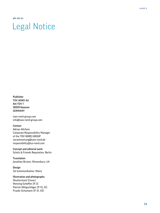**GRI 102-53**

## Legal Notice

Publisher TÜV NORD AG Am TÜV 1 30519 Hanover GERMANY

[tuev-nord-group.com](http://tuev-nord-group.com) [info@tuev-nord-group.com](mailto:info%40tuev-nord-group.com?subject=)

**Contact** 

Adrian Altrhein Corporate Responsibility Manager of the TÜV NORD GROUP [verantwortung@tuev-nord.de](mailto:verantwortung@tuev-nord.de ) [responsibility@tuv-nord.com](mailto:responsibility@tuv-nord.com  ) 

Concept and editorial work Scholz & Friends Reputation, Berlin

**Translation** Jonathan Bruton, Shrewsbury, UK

Design 3st kommunikation, Mainz

Illustration and photography Shutterstock (Cover ) Henning Scheffen (P. 3 ) Patrick Ohligschläger (P.15, 51 ) Frauke Schumann (P. 31, 43 )